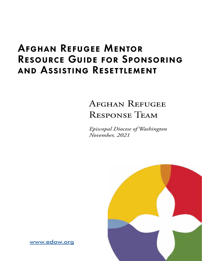# Afghan Refugee Mentor Resource Guide for Sponsoring and Assisting Resettlement

# Afghan Refugee Response Team

 *Episcopal Diocese of Washington November, 2021*



[www.edow.org](http://www.edow.org)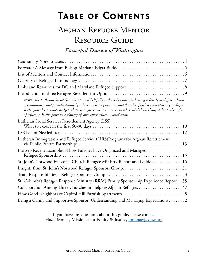# <span id="page-2-0"></span>Table of Contents

# Afghan Refugee Mentor RESOURCE GUIDE

*Episcopal Diocese of Washington*

If you have any questions about this guide, please contact Hazel Monae, Missioner for Equity & Justice, [hmonae@edow.org](mailto:hmonae%40edow.org?subject=Afghan%20Refugee%20Mentor%20Resource%20Guide)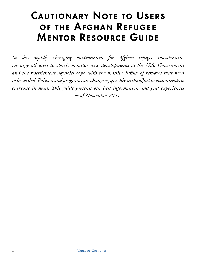# <span id="page-3-0"></span>Cautionary Note to Users of the Afghan Refugee Mentor Resource Guide

*In this rapidly changing environment for Afghan refugee resettlement, we urge all users to closely monitor new developments as the U.S. Government and the resettlement agencies cope with the massive influx of refugees that need to be settled. Policies and programs are changing quickly in the effort to accommodate everyone in need. This guide presents our best information and past experiences as of November 2021.*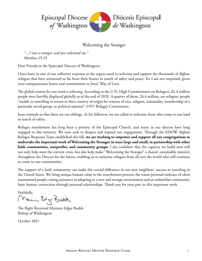<span id="page-4-0"></span>

### Welcoming the Stranger

*"…I was a stranger, and you welcomed me." Matthew 25:35*

Dear Friends in the Episcopal Diocese of Washington,

I have been in awe of our collective response to the urgent need to welcome and support the thousands of Afghan refugees that have sojourned so far from their homes in search of safety and peace. Yet I am not surprised, given your compassionate hearts and commitment to Jesus' Way of Love.

The global context for our work is sobering. According to the U.N. High Commissioner on Refugees, 82.4 million people were forcibly displaced globally as of the end of 2020. A quarter of them, 26.4 million, are refugees: people "unable or unwilling to return to their country of origin for reasons of race, religion, nationality, membership of a particular social group, or political opinion" (1951 Refugee Convention).

Jesus reminds us that these are our siblings. As his followers, we are called to welcome those who come to our land in search of safety.

Refugee resettlement has long been a priority of the Episcopal Church, and many in our diocese have long engaged in this ministry. We now seek to deepen and expand our engagement. Through the EDOW Afghan Refugee Response Team established this fall, **we are working to empower and support all our congregations to undertake the important work of Welcoming the Stranger in ways large and small, in partnership with other faith communities, nonprofits, and community groups.** I am confident that the capacity we build now will not only help meet the current crisis, but also help make "Welcoming the Stranger" a shared, sustainable ministry throughout the Diocese for the future, enabling us to welcome refugees from all over the world who will continue to come to our communities.

The support of a faith community can make the crucial difference in our new neighbors' success in resettling in the United States. We bring unique human value to the resettlement process: the warm personal embrace of often traumatized people, caring assistance in adapting to a new and strange environment and an unfamiliar community, basic human connection through personal relationships. Thank you for your part in this important work.

Faithfully,

المممند تختاج كمحتفاظو

The Right Reverend Mariann Edgar Budde Bishop of Washington

October 2021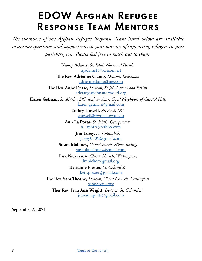# EDOW Afghan Refugee Response Team Mentors

<span id="page-5-0"></span>*The members of the Afghan Refugee Response Team listed below are available to answer questions and support you in your journey of supporting refugees in your parish/region. Please feel free to reach out to them.*

> **Nancy Adams,** *St. John's Norwood Parish,*  [njadams1@verizon.net](mailto:njadams1%40verizon.net?subject=)

**The Rev. Adrienne Clamp,** *Deacon, Redeemer,*  [adrienneclamp@me.com](mailto:adrienneclamp%40me.com?subject=)

**The Rev. Anne Derse,** *Deacon, St.John's Norwood Parish,*  [aderse@stjohnsnorwood.org](mailto:aderse%40stjohnsnorwood.org?subject=)

**Karen Getman,** *St. Mark's, DC, and co-chair: Good Neighbors of Capitol Hill,*  [karen.getman@gmail.com](mailto:karen.getman%40gmail.com?subject=)

> **Embry Howell,** *All Souls DC,*  [ehowell@gwmail.gwu.edu](mailto:ehowell%40gwmail.gwu.edu%20?subject=)

**Ann La Porta,** *St. John's, Georgetown,*  [a\\_laporta@yahoo.com](mailto:a_laporta%40yahoo.com?subject=)

> **Jim Losey,** *St. Columba's,*  [jlosey0709@gmail.com](mailto:jlosey0709%40gmail.com?subject=)

**Susan Maloney,** *GraceChurch, Silver Spring,*  [susankmaloney@gmail.com](mailto:susankmaloney%40gmail.com?subject=)

**Lisa Nickerson,** *Christ Church, Washington,*  [lmnicker@gmail.org](mailto:lmnicker%40gmail.org%20?subject=)

> **Kerianne Piester,** *St. Columba's,*  [keri.piester@gmail.com](mailto:keri.piester%40gmail.com?subject=)

**The Rev. Sara Thorne,** *Deacon, Christ Church, Kensington,*  [sara@ccpk.org](mailto:sara%40ccpk.org?subject=)

**Ther Rev. Jean Ann Wright,** *Deacon, St. Columba's,*  [jeanannquilts@gmail.com](mailto:jeanannquilts%40gmail.com?subject=)

September 2, 2021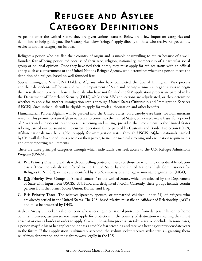# Refugee and Asylee Category Definitions

<span id="page-6-0"></span>As people enter the United States, they are given various statuses. Below are a few important categories and definitions to help guide you. The 3 categories below "refugee" apply directly to those who receive refugee status. Asylee is another category on its own.

Refugee: a person who has fled their country of origin and is unable or unwilling to return because of a wellfounded fear of being persecuted because of their race, religion, nationality, membership of a particular social group or political opinion. Once they have fled their home, they must apply for refugee status with an official entity, such as a government or the United Nations Refugee Agency, who determines whether a person meets the definition of a refugee, based on well-founded fear.

Special Immigrant Visa (SIV) Holders: Afghans who have completed the Special Immigrant Visa process and their dependents will be assisted by the Department of State and non-governmental organizations to begin their resettlement process. Those individuals who have not finished the SIV application process are paroled in by the Department of Homeland Security (DHS) while their SIV applications are adjudicated, or they determine whether to apply for another immigration status through United States Citizenship and Immigration Services (USCIS). Such individuals will be eligible to apply for work authorization and other benefits.

Humanitarian Parole: Afghans will be paroled into the United States, on a case-by-case basis, for humanitarian reasons. This permits certain Afghan nationals to come into the United States, on a case-by-case basis, for a period of 2 years and subsequent to appropriate screening and vetting, provided their movement to the United States is being carried out pursuant to the current operation. Once paroled by Customs and Border Protection (CBP), Afghan nationals may be eligible to apply for immigration status through USCIS. Afghan nationals paroled by CBP will also have conditions placed on their parole, to include medical screening and vaccination requirements and other reporting requirements.

There are three principal categories through which individuals can seek access to the U.S. Refugee Admissions Program (USRAP):

- A. P-1: **Priority One**. Individuals with compelling protection needs or those for whom no other durable solution exists. These individuals are referred to the United States by the United Nations High Commissioner for Refugees (UNHCR), or they are identified by a U.S. embassy or a non-governmental organization (NGO).
- B. P-2: **Priority Two**. Groups of "special concern" to the United States, which are selected by the Department of State with input from USCIS, UNHCR, and designated NGOs. Currently, these groups include certain persons from the former Soviet Union, Burma, and Iraq.
- C. P-4: **Priority Three**. The relatives (parents, spouses, or unmarried children under 21) of refugees who are already settled in the United States. The U.S.-based relative must file an Affidavit of Relationship (AOR) and must be processed by DHS.

Asylees: An asylum seeker is also someone who is seeking international protection from dangers in his or her home country. However, asylum seekers must apply for protection in the country of destination – meaning they must arrive at or cross a border in order to apply. Overall, the asylum process can take years to conclude. In some cases, a person may file his or her application or pass a credible fear screening and receive a hearing or interview date years in the future. If their application is ultimately accepted, the asylum seeker receives asylee status – granting them relief from deportation and the right to work legally in the U.S.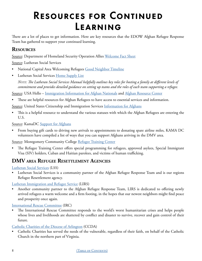# <span id="page-7-0"></span>Resources for Continued Learning

There are a lot of places to get information. Here are key resources that the EDOW Afghan Refugee Response Team has gathered to support your continued learning.

### **Resources**

Source: Department of Homeland Security Operation Allies [Welcome Fact Sheet](https://www.dhs.gov/sites/default/files/publications/dhs_resettlement_of_at-risk_afghans_508_0.pdf)

Source: Lutheran Social Services

- National Capital Area Welcoming Refugees [Good Neighbor Timeline](https://rcusa.org/wp-content/uploads/2020/04/DOC-7_LSSNCA_Welcoming-Refugees-Good-Neighbor-Timeline.pdf)
- Lutheran Social Services [Home Supply List](http://www.lsswis.org/wp-content/uploads/2020/08/LSS-Home-Supply-List.pdf)

*Note: The Lutheran Social Services Manual helpfully outlines key roles for hosting a family at different levels of commitment and provides detailed guidance on setting up teams and the roles of each team supporting a refugee.*

Source: USA Hello – [Immigration Information for Afghan Nationals](https://usahello.org/afghan-resource-center/us-immigration/) and [Afghan Resource Center](https://usahello.org/afghan-resource-center/#gref)

• These are helpful resources for Afghan Refugees to have access to essential services and information.

Source: United States Citizenship and Immigration Services *[Information for Afghans](https://www.uscis.gov/humanitarian/information-for-afghans)* 

• This is a helpful resource to understand the various statuses with which the Afghan Refugees are entering the U.S.

Source: KamaDC [Support for Afghans](https://docs.google.com/document/d/1yvw3A2r1vT5imT9V9TShQoeN6mOGP5PZ3bbbI_OrxWA/edit)

• From buying gift cards to driving new arrivals to appointments to donating spare airline miles, KAMA DC volunteers have compiled a list of ways that you can support Afghans arriving in the DMV area.

Source: Montgomery Community College [Refugee Training Center](https://www.montgomerycollege.edu/workforce-development-continuing-education/english-language-skills/refugee/index.html)

• The Refugee Training Center offers special programming for refugees, approved asylees, Special Immigrant Visa (SIV) holders, Cuban and Haitian parolees, and victims of human trafficking.

## **DMV area Refugee Resettlement Agencies**

[Lutheran Social Services](https://lssnca.org/) (LSS)

• Lutheran Social Services is a community partner of the Afghan Refugee Response Team and is our regions Refugee Resettlement agency.

[Lutheran Immigration and Refugee Service](https://www.lirs.org/) (LIRS)

• Another community partner to the Afghan Refugee Response Team, LIRS is dedicated to offering newly arrived refugees a warm welcome and a firm footing, in the hopes that our newest neighbors might find peace and prosperity once again.

[International Rescue Committee](https://www.rescue.org/) (IRC)

• The International Rescue Committee responds to the world's worst humanitarian crises and helps people whose lives and livelihoods are shattered by conflict and disaster to survive, recover and gain control of their future.

#### [Catholic Charities of the Diocese of Arlington](https://www.ccda.net/) (CCDA)

• Catholic Charities has served the needs of the vulnerable, regardless of their faith, on behalf of the Catholic Church in the northern part of Virginia.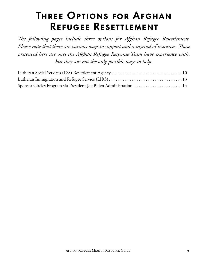# <span id="page-8-0"></span>Three Options for Afghan Refugee Resettlement

The following pages include three options for Afghan Refugee Resettlement. *Please note that there are various ways to support and a myriad of resources. Those presented here are ones the Afghan Refugee Response Team have experience with, but they are not the only possible ways to help.*

| Sponsor Circles Program via President Joe Biden Administration  14 |  |
|--------------------------------------------------------------------|--|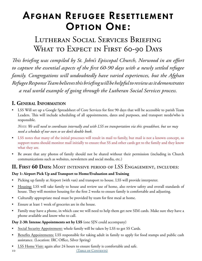# <span id="page-9-0"></span>Afghan Refugee Resettlement Option One:

# Lutheran Social Services Briefing WHAT TO EXPECT IN FIRST 60-90 DAYS

*This briefing was compiled by St. John's Episcopal Church, Norwood in an effort to capture the essential aspects of the first 60-90 days with a newly settled refugee family. Congregations will undoubtedly have varied experiences, but the Afghan Refugee Response Team believes this briefing will be helpful to review as it demonstrates a real world example of going through the Lutheran Social Services process.*

# **I. General Information**

• LSS Will set up a Google Spreadsheet of Core Services for first 90 days that will be accessible to parish Team Leaders. This will include scheduling of all appointments, dates and purposes, and transport needs/who is responsible.

*Note: We will need to coordinate internally and with LSS on transportation via this spreadsheet, but we may need a schedule of our own so we don't double book.*

- LSS notes that many of the initial processes will result in mail to family, but mail is not a known concept, so support teams should monitor mail initially to ensure that SS and other cards get to the family and they know what they are.
- Be aware that any photos of family should not be shared without their permission (including in Church communications such as websites, newsletters and social media, etc.)

## **II. First 60 Days:** Most intensive period of LSS Engagement, includes:

### **Day 1: Airport Pick Up and Transport to Home/Evaluation and Training**

- Picking up family at Airport (with van) and transport to house. LSS will provide interpreter.
- Housing: LSS will take family to house and review use of home, also review safety and overall standards of house. They will monitor housing for the first 2 weeks to ensure family is comfortable and adjusting.
- Culturally appropriate meal must be provided by team for first meal at home.
- Ensure at least 1 week of groceries are in the house.
- Family may have a phone, in which case we will need to help them get new SIM cards. Make sure they have a phone available and know who to call.

### **Day 2-30: Intense Appointments set by LSS** (one SJN could accompany)

- Social Security Appointment: whole family will be taken by LSS to get SS Cards.
- Benefits Appointments: LSS responsible for taking adult in family to apply for food stamps and public cash assistance. (Location: IRC Office, Silver Spring)
- LSS Home Visit: again after 24 hours to ensure family is comfortable and safe.
- 
- 10 (TABLE OF CONTENTS)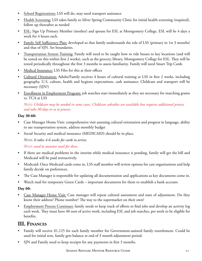- School Registrations: LSS will do, may need transport assistance
- Health Screening: LSS takes family to Silver Spring Community Clinic for initial health screening (required), follow up thereafter as needed
- ESL: Sign Up Primary Member (mother) and spouse for ESL at Montgomery College. ESL will be 4 days a week for 4 hours each.
- Family Self Sufficiency Plan: developed so that family understands the role of LSS (primary in 1st 3 months) and that of SJN. Set boundaries.
- Transportation System Training: Family will need to be taught how to ride busses to key locations (and will be tested on this within first 2 weeks), such as the grocery, library, Montgomery College for ESL. They will be tested periodically throughout the first 3 months to assess familiarity. Family will need Smart Trip Cards
- Medical Insurance: LSS Files for this at their offices
- Cultural Orientation: Adults/Family receives 4 hours of cultural training at LSS in first 2 weeks, including geography, U.S. culture, health and hygiene expectations, cash assistance: Childcare and transport will be necessary (SJN?)
- Enrollment in Employment Program: job searches start immediately as they are necessary for matching grants vs. TCA at LSS

*Note: Childcare may be needed in some cases. Childcare subsidies are available but requires additional process and take 30 days or so to process.*

#### **Day 30-60:**

- Case Manager Home Visit: comprehensive visit assessing cultural orientation and progress in language, ability to use transportation system, address monthly budget
- Social Security and medical insurance (MEDICAID) should be in place.

*Note: It takes 4-6 weeks for cards to arrive.*

*Note: need to monitor mail for these.*

- If there are medical problems in the interim while medical insurance is pending, family will get the bill and Medicaid will be paid retroactively.
- Medicaid: Once Medicaid cards come in, LSS staff member will review options for care organizations and help family decide on preferences.
- The Case Manager is responsible for updating all documentation and applications as key documents come in.
- Watch mail for temporary Green Cards important documents for them to establish a bank account.

#### **Day 60:**

- Case Manager Home Visit: Case manager will repeat cultural assessment and state of adjustment. Do they know their address? Phone number? The way to the supermarket on their own?
- Employment Process Continues: family needs to keep track of efforts to find jobs and develop an activity log each week. They must have 40 ours of active work, including ESL and job searches, per week to be eligible for benefits.

## **III. Finances**

- Family will receive \$1,125 for each family member for Government-assisted family resettlement. Could be used for initial rent, family gets balance at end of 3 month adjustment period.
- SJN and Family need to keep receipts for any payments in first 3 months.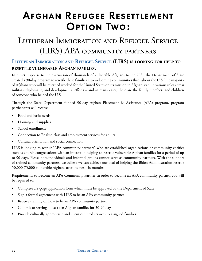# <span id="page-11-0"></span>Afghan Refugee Resettlement Option Two:

# Lutheran Immigration and Refugee Service (LIRS) APA community partners

### **Lutheran Immigration [and Refugee](https://www.lirs.org/) Service (LIRS) is looking for help to resettle vulnerable Afghan families.**

In direct response to the evacuation of thousands of vulnerable Afghans to the U.S., the Department of State created a 90-day program to resettle these families into welcoming communities throughout the U.S. The majority of Afghans who will be resettled worked for the United States on its mission in Afghanistan, in various roles across military, diplomatic, and developmental efforts – and in many cases, these are the family members and children of someone who helped the U.S.

Through the State Department funded 90-day Afghan Placement & Assistance (APA) program, program participants will receive:

- Food and basic needs
- Housing and supplies
- School enrollment
- Connection to English class and employment services for adults
- Cultural orientation and social connection

LIRS is looking to recruit "APA community partners" who are established organizations or community entities such as church congregations with an interest in helping to resettle vulnerable Afghan families for a period of up to 90 days. Please note,individuals and informal groups cannot serve as community partners. With the support of trained community partners, we believe we can achieve our goal of helping the Biden Administration resettle 50,000-75,000 vulnerable Afghans over the next six months.

Requirements to Become an APA Community Partner In order to become an APA community partner, you will be required to:

- Complete a 2-page application form which must be approved by the Department of State
- Sign a formal agreement with LIRS to be an APA community partner
- Receive training on how to be an APA community partner
- Commit to serving at least ten Afghan families for 30-90 days
- Provide culturally appropriate and client centered services to assigned families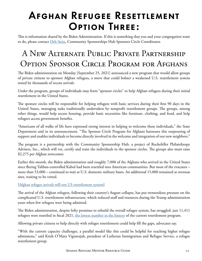# <span id="page-12-0"></span>Afghan Refugee Resettlement Option Three:

This is information shared by the Biden Administration. If this is something that you and your congregation want to do, please contact [Deb Stein](mailto:mailto:dstein%40communitysponsorshiphub.org?subject=New%20Alternate%20Public%20Private%20Partnership%20Option%20Sponsor%20Circle%20Program%20for%20Afghans), Community Sponsorships Hub Sponsors Circle Coordinator.

# A New Alternate Public Private Partnership Option Sponsor Circle Program for Afghans

The Biden administration on Monday [September 25, 2021] announced a new program that would allow groups of private citizens to sponsor Afghan refugees, a move that could bolster a weakened U.S. resettlement system tested by thousands of recent arrivals.

Under the program, groups of individuals may form "sponsor circles" to help Afghan refugees during their initial resettlement in the United States.

The sponsor circles will be responsible for helping refugees with basic services during their first 90 days in the United States, managing tasks traditionally undertaken by nonprofit resettlement groups. The groups, among other things, would help secure housing, provide basic necessities like furniture, clothing, and food, and help refugees access government benefits.

"Americans of all walks of life have expressed strong interest in helping to welcome these individuals," the State Department said in its announcement. "The Sponsor Circle Program for Afghans harnesses this outpouring of support and enables individuals to become directly involved in the welcome and integration of our new neighbors."

The program is a partnership with the Community Sponsorship Hub, a project of Rockefeller Philanthropy Advisers, Inc., which will vet, certify and train the individuals in the sponsor circles. The groups also must raise \$2,275 per Afghan newcomer.

Earlier this month, the Biden administration said roughly 7,000 of the Afghans who arrived in the United States since fleeing Taliban-controlled Kabul had been resettled into American communities. But most of the evacuees – more than 53,000 – continued to wait at U.S. domestic military bases. An additional 15,000 remained at overseas sites, waiting to be vetted.

#### [[Afghan refugee arrivals will test US resettlement system](https://www.rollcall.com/2021/08/27/afghan-refugee-arrivals-will-test-us-resettlement-system/)]

The arrival of the Afghan refugees, following their country's August collapse, has put tremendous pressure on the complicated U.S. resettlement infrastructure, which reduced staff and resources during the Trump administration years when few refugees were being admitted.

The Biden administration, despite lofty promises to rebuild the overall refugee system, has struggled: just 11,411 refugees were resettled in fiscal 2021, [the lowest number in the history](https://www.rollcall.com/2021/10/05/number-of-refugee-resettlements-hits-new-low/) of the current resettlement program.

Allowing private citizens to help directly with refugee resettlement could help fill the gaps, advocates say.

"With the current capacity challenges, a parallel model like this could be helpful for reaching higher refugee admissions," said Krish O'Mara Vignarajah, president of Lutheran Immigration and Refugee Service, a refugee resettlement group.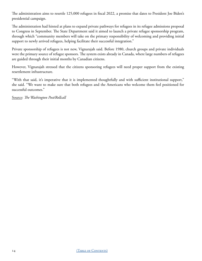The administration aims to resettle 125,000 refugees in fiscal 2022, a promise that dates to President Joe Biden's presidential campaign.

The administration had hinted at plans to expand private pathways for refugees in its refugee admissions proposal to Congress in September. The State Department said it aimed to launch a private refugee sponsorship program, through which "community members will take on the primary responsibility of welcoming and providing initial support to newly arrived refugees, helping facilitate their successful integration."

Private sponsorship of refugees is not new, Vignarajah said. Before 1980, church groups and private individuals were the primary source of refugee sponsors. The system exists already in Canada, where large numbers of refugees are guided through their initial months by Canadian citizens.

However, Vignarajah stressed that the citizens sponsoring refugees will need proper support from the existing resettlement infrastructure.

"With that said, it's imperative that it is implemented thoughtfully and with sufficient institutional support," she said. "We want to make sure that both refugees and the Americans who welcome them feel positioned for successful outcomes."

Source: *The Washington Post/Rollcall*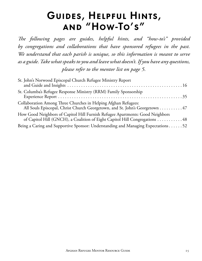# Guides, Helpful Hints, and "How-To's"

<span id="page-14-0"></span>*The following pages are guides, helpful hints, and "how-to's" provided by congregations and collaborations that have sponsored refugees in the past. We understand that each parish is unique, so this information is meant to serve as a guide. Take what speaks to you and leave what doesn't. If you have any questions, please refer to the mentor list on page 5.* 

| St. John's Norwood Episcopal Church Refugee Ministry Report                                                                                                 |
|-------------------------------------------------------------------------------------------------------------------------------------------------------------|
| St. Columba's Refugee Response Ministry (RRM) Family Sponsorship                                                                                            |
| Collaboration Among Three Churches in Helping Afghan Refugees:<br>All Souls Episcopal, Christ Church Georgetown, and St. John's Georgetown 47               |
| How Good Neighbors of Capitol Hill Furnish Refugee Apartments: Good Neighbors<br>of Capitol Hill (GNCH), a Coalition of Eight Capitol Hill Congregations 48 |
| Being a Caring and Supportive Sponsor: Understanding and Managing Expectations52                                                                            |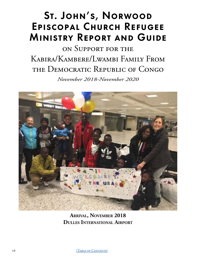# <span id="page-15-0"></span>St. John's, Norwood Episcopal Church Refugee Ministry Report and Guide

# on Support for the Kabira/Kambere/Lwambi Family From the Democratic Republic of Congo

*November 2018-November 2020*



**Arrival, November 2018 Dulles International Airport**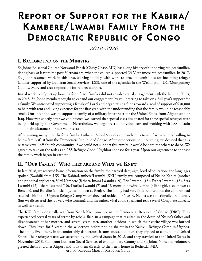# Report of Support for the Kabira/ Kambere/Lwambi Family From the Democratic Republic of Congo

### *2018-2020*

### **I. Background on the Ministry**

St. John's Episcopal Church Norwood Parish (Chevy Chase, MD) has a long history of supporting refugee families, dating back at least to the post-Vietnam era, when the church supported (2) Vietnamese refugee families. In 2017, St. John's resumed work in this area, starting initially with work to provide furnishings for incoming refugee families supported by Lutheran Social Services (LSS), one of the agencies in the Washington, DC/Montgomery County, Maryland area responsible for refugee support.

Initial work to help set up housing for refugee families did not involve actual engagement with the families. Thus, in 2018, St. John's members sought to expand our engagement, by volunteering to take on a full-year's support for a family. We anticipated supporting a family of 4 or 5 and began raising funds toward a goal of support of \$30,000 to help with rent and living expenses for the first year, with the understanding that the family would be reasonably small. Our intention was to support a family of a military interpreter for the United States from Afghanistan or Iraq. However, shortly after we volunteered we learned that special visas designated for these special refugees were being held up by the Government. Nevertheless, we began recruiting volunteers and working with LSS to train and obtain clearances for our volunteers.

After waiting many months for a family, Lutheran Social Services approached us to see if we would be willing to help a family if 10 from the Democratic Republic of Congo. After some serious soul searching, we decided that as a relatively well-off church community, if we could not support this family, it would be hard for others to do so. We agreed to take on the task as an LSS Refugee Good Neighbor sponsor for a year. Upon our agreement to sponsor the family work began in earnest.

### **II. "Our Family:" Who they are and What we Knew**

In late 2018, we received basic information on the family, their arrival date, ages, level of education, and languages spoken (Swahili) from LSS. The KabiraKambere/Lwambi (KKL) family was composed of Nzuba Kabira (mother and principal applicant), Vital Kambere (father), Imani Lwambi (19), Eric Lwambi (15), Esther Lwambi (13), Sera Lwambi (12), Ishara Lwambi (10), Dorika Lwambi (7) and 18-mont- old twins Lumoo (a little girl, also known as Benedie), and Butsiire (a little boy, also known as Benja). The family had very little English, but the children had studied a bit in the Uganda Refugee Camp where they had resided for 5 years. Nzuba was functionally pre-literate, (but we discovered she is a very wise woman), and the father, Vital could speak and read several Congolese dialects, as well as Swahili.

The KKL family originally was from North Kivu province in the Democratic Republic of Congo (DRC). They experienced several years of terror by rebels, first, in a rampage that resulted in the death of Nzuba's father and disappearance of her mother, and several years later, another incident in which their entire village was burned down. They lived for 3 years in the wilderness before finding shelter in the Nakivili Refugee Camp in Uganda. The family lived there, in uncomfortably dangerous circumstances, and there they applied to come to the United States. Their refugee status was accepted by the United States in 2018, and they traveled to the United States in November 2018. Staff from Lutheran Social Services of Montgomery County and St. John's Norwood volunteers greeted them at Dulles Airport and took them directly to their new home in Bethesda, MD.

Afghan Refugee Mentor Resource Guide 17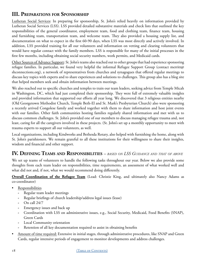## **III. Preparations for Sponsorship**

Lutheran Social Services: In preparing for sponsorship, St. John's relied heavily on information provided by Lutheran Social Services (LSS). LSS provided detailed substantive materials and check lists that outlined the key responsibilities of the general coordinator, employment team, food and clothing team, finance team, housing and furnishing team, transportation team, and welcome team. They also provided a housing supply list, and documentation on what to expect in the first 60-90 days, when LSS was most directly and actively involved. In addition, LSS provided training for all our volunteers and information on vetting and clearing volunteers that would have regular contact with the family members. LSS is responsible for many of the initial processes in the first few months, including obtaining social security numbers, work permits, and Medicaid cards.

Other Sources of Advance Support: St. John's teams also reached out to other groups that had experience sponsoring refugee families. In particular, we found very helpful the informal Refugee Support Group (contact merritt@ shconnections.org), a network of representatives from churches and synagogues that offered regular meetings to discuss key topics with experts and to share experiences and solutions to challenges. This group also has a blog site that helped members seek and obtain information between meetings.

We also reached out to specific churches and temples to train our team leaders, seeking advice from Temple Micah in Washington, DC, which had just completed their sponsorship. They were full of extremely valuable insights and provided information that supported our efforts all year long. We discovered that 3 religious entities nearby (Old Georgetown Methodist Church, Temple Beth-El and St. Mark's Presbyterian Church) also were sponsoring a recently arrived Congolese family and worked together with them to share information and host joint events with our families. Other faith communities hosting families regularly shared information and met with us to discuss common challenges. St. John's provided one of our members to discuss managing refugee trauma and, not least, caring for all the caregivers involved in these projects. (St. John's set up a monthly opportunity to meet with trauma experts to support all our volunteers, as well.

Local organizations, including Kindworks and Bethesda Rotary, also helped with furnishing the home, along with St. John's parishioners. We remain grateful to all these institutions for their willingness to share their insights, wisdom and financial and other support.

### **IV. Defining Teams and Responsibilities** *– based on LSS Guidance and that of above*

We set up teams of volunteers to handle the following tasks throughout our year. Below we also provide some thoughts from each team leader on responsibilities, time requirements, an assessment of what worked well and what did not and, if not, what we would recommend doing differently.

**Overall Coordination of the Refugee Team** (Lead: Christie King, and ultimately also Nancy Adams as co-coordinator)

- Responsibilities
	- **-** Regular team leader meetings
	- **-** Regular briefings of church leadership/address legal issues (lease)
	- **-** On call 24/7
	- **-** Emergency issues and back up
	- **-** Coordination with LSS on administrative issues, e.g., Social Security, Medicaid, Food Benefits (SNAP), Green Cards
	- **-** Local Community orientation
	- **-** Retention of all key documentation required to assist in obtaining benefits
- Amount of time required: Extensive in initial stages, through administrative procedures, like SNAP and Green Cards, regular intensive periods of engagement to monitor developments and address challenges.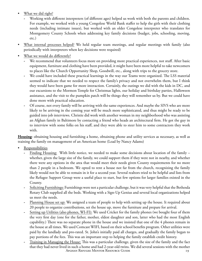- What we did right?
	- **-** Working with different interpreters (of different ages) helped us work with both the parents and children. For example, we worked with a young Congolese World Bank staffer to help the girls with their clothing needs (including intimate issues), but worked with an older Congolese interpreter who translates for Montgomery County Schools when addressing key family decisions (budget, jobs, schooling, moving, etc.)
- What internal processes helped? We held regular team meetings, and regular meetings with family (also periodically with interpreters when key decisions were required)
- What we would do differently?
	- **-** We recommend that volunteers focus more on providing more practical experiences, not stuff. After basic equipment, furniture and clothing have been provided, it might have been more helpful to take newcomers to places like the Church Opportunity Shop, Goodwill, etc., along with trips to the grocery store.
	- We could have included these practical learnings in the way our Teams were organized. The LSS material seemed to indicate that we needed to respect the family's privacy and not overwhelm them, but I think they would have been game for more interaction. Certainly, the outings we did with the kids in DC, and our excursions to the Mormon Temple for Christmas lights, our holiday and birthday parties, Halloween assistance, and the visit to the pumpkin patch will be things they will remember us by. But we could have done more with practical education.
	- **-** Of course, not every family will be arriving with the same experiences. And maybe the SIVS who are more likely to be arriving in the coming year will be much more sophisticated, and thus might be ready to be guided into job interviews. Christie did work with another woman in my neighborhood who was assisting an Afghan family in Baltimore by contacting a friend who heads an architectural firm. He got the guy in to interview with some folks on his staff, and they were able to steer him to some contractors they work with.

**Housing**: obtaining housing and furnishing a home, obtaining phone and utility services as necessary, as well as training the family on management of an American home (Lead by Nancy Adams)

- **Responsibilities** 
	- **-** Finding Housing: With little notice, we needed to make some decisions about location of the family whether, given the large size of the family, we could support them if they were not in nearby, and whether there were any options in the area that would meet their needs given County requirements for no more than 2 people in a bedroom. We opted to rent a house not far from the church, recognizing the family likely would not be able to remain in it for a second year. Several realtors tried to be helpful and lists from the Refugee Support Group were a useful place to start, but few options for larger families existed in the County.
	- **-** Soliciting Furnishings: Furnishings were not a particular challenge, but it was very helpful that the Bethesda Rotary Club supplied all the beds. Working with a Sign-Up Genius and several local organizations helped us meet the needs.
	- **-** Planning House set up: We assigned a team of people to help with setting up the house. It required about 20 people to organize contributions, set the house up, move the furniture and prepare for arrival.
	- **-** Setting up Utilities (also phones, WI-FI): We used Cricket for the family phones (we bought four of them the very first day (one for the father, mother, eldest daughter and son, latter who had the most English capability.) There was no separate phone in the house and we insisted that one of the 4 phones remain in the house at all times. We used Comcast WIFI, based on their school benefits program. Other utilities were paid by the landlady and pro-rated. St. John's initially paid all charges, and gradually the family began to pay portions of the fees. This was an important step to helping the family establish credit history.
	- AFGHAN REFUGEE MENTOR RESOURCE GUIDE 19 **-** Training in Managing the House: This was a particular challenge, given the size of the family and the fact that they had never lived in such a home and had 2-year-old twins. We did several sessions with the mother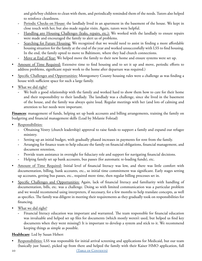and girls/boy children to clean with them, and periodically reminded them of the needs. Tutors also helped to reinforce cleanliness.

- **-** Periodic Checks on House: the landlady lived in an apartment in the basement of the house. We kept in close touch with her, but also made regular visits. Again, tutors were helpful.
- **-** Handling any Housing Challenges (leaks, repairs, etc.): We worked with the landlady to ensure repairs were made and encouraged the family to alert us of problems.
- **-** Searching for Future Housing: We recognized that we would need to assist in finding a more affordable housing situation for the family at the end of the year and worked unsuccessfully with LSS to find housing. In the end, the family opted to move to Baltimore, where they had church connections.
- **-** Move at End of Year: We helped move the family to their new home and ensure systems were set up.
- Amount of Time Required: Extensive time to find housing and to set it up and move, periodic efforts to address problems, significant repair work to the home after departure was required.)
- Specific Challenges and Opportunities: Montgomery County housing rules were a challenge as was finding a house with sufficient space for such a large family.
- What we did right?
	- We built a good relationship with the family and worked hard to show them how to care for their home and their responsibility to their landlady. The landlady was a challenge, since she lived in the basement of the house, and the family was always quite loud. Regular meetings with her (and lots of calming and attention to her needs were important.

**Finances**: management of funds, helping set up bank accounts and billing arrangements, training the family on budgeting and financial management skills (Lead by Melanie Folstad)

- Responsibilities:
	- **-** Obtaining Vestry (church leadership) approval to raise funds to support a family and expand our refugee ministry.
	- **-** Setting up an initial budget, with gradually phased increases in payments for rent from the family.
	- **-** Arranging for finance team to help educate the family on financial obligations, financial management, and document retention,
	- **-** Provide team assistance in oversight for fiduciary role and support for navigating financial decisions.
	- **-** Helping family set up bank accounts, bus passes (for automatic re-loading funds), etc.
- Amount of Time Required: Initial level of financial literacy was low, and there was little comfort with documentation, billing, bank accounts, etc., so initial time commitment was significant. Early stages setting up accounts, getting bus passes, etc., required more time, then regular billing processes set in.
- Specific Challenges and Opportunities: Again, lack of financial literacy and familiarity with handling of documentation, bills, etc. was a challenge. Doing so with limited communication was a particular problem and we would recommend using interpreters, if necessary, for a few months to help translate concepts, as well as specifics. The family was diligent in meeting their requirements as they gradually took on responsibilities for financing.
- What we did right?
	- **-** Financial literacy education was important and warranted. The team responsible for financial education was invaluable and helped set up files for documents (which mostly weren't used, but helped us find key documents when they went missing!) It is important to develop a system and stick to it. We recommend keeping things as simple as possible.

#### **Healthcare**: Led by Susan Hebert

• Responsibilities: LSS was responsible for initial arrival screening and applications for Medicaid, but our team (basically just Susan), picked up from there and helped the family with their Kaiser HMO application, full

20 (TABLE OF CONTENTS)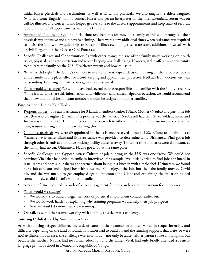initial Kaiser physicals and vaccinations, as well as all school physicals. We also taught the eldest daughter (who had some English) how to contact Kaiser and get an interpreter on the line. Essentially, Susan was on call for illnesses and concerns, and helped get everyone to the doctor's appointments and keep track of records. Coordination of all appointments was also a key role.

- Amount of Time Required: The initial time requirements for moving a family of this side through all their physicals was intensive and a bit overwhelming. There were a few additional times when assistance was required to advise the family, a few quick trips to Kaiser for illnesses, and, by a separate team, additional physicals with a Civil Surgeon for their Green Card Processes.
- Specific Challenges and Opportunities: As with other teams, the size of the family made working on health issues, physicals, and transportation and record keeping was challenging. However, it also offered an opportunity to educate the family on the U.S. Healthcare system and how to use it.
- What we did right? The family's decision to use Kaiser was a great decision. Having all the resources for the entire family in one place, effective record-keeping and appointment processes, feedback from doctors, etc. was outstanding. Ensuring dentistry coverage was also essential.
- What would we change? We would have had several people responsible and familiar with the family's records. While it is hard to share this information, and while our team leaders helped on occasion, we would recommend that a few additional health team members should be assigned for larger families.

#### **Employment**: Led by Kate Tapley

- Responsibilities: Job search assistance for 3 family members (Father (Vital), Mother (Nzuba) and part time job for 19-year-old daughter (Imani.) First priority was the father, as Nzuba still had twin 2-year-olds at home and Imani was still in school. This required extensive outreach to others in the church for assistance in contacts for jobs, resume writing and interview training (for Imani).
- Guidance received: We were disappointed in the assistance received through LSS. Efforts to obtain jobs at Walmart never materialized,and little assistance was provided to determine why. Ultimately, Vital got a job through other friends at a produce packing facility quite far away. Transport time and costs were significant, as the family had no car. Ultimately, Nzuba got a job at the same place.
- Specific Challenges and Opportunities: Culture of job hunting in the U.S. was one factor. We could not convince Vital that he needed to smile in interviews, for example. We initially tried to find jobs for Imani in restaurants and hotels, but she was concerned about being in a kitchen with a male chef. Ultimately, we found her a job at Giant and helped her with a resume. She enjoyed the job, but then the family moved, Covid hit, and she was unable to get employed again. Pre-contacting Giant and explaining the situation helped tremendously, as did Imani's wonderful smile.
- Amount of time required: Periods of active engagement for job searches and preparation for interviews.
- What would we change?
	- **-** We would try to build a bigger network of potential employment contacts earlier on.
	- **-** We would work harder at explaining why training programs would help their job prospects.
	- **-** And we would do more interview training.
- Overall, as with other teams, working with a family this size was a challenge.

#### **Tutoring (Adults)**: Led by Ann Ramsey-Moor

As with tutoring refugee children, the task of tutoring their parents in English varied in scope, intensity, and difficulty depending on the kind of foundation tutors had to build on and the learning supports that were (or were not) available. In our case, the challenge was enormous – not only because neither parent spoke any English, but because the mother, Nzuba, had no formal education and the father, Vital, had only briefly attended a Frenchlanguage primary school in Democratic Republic of Congo.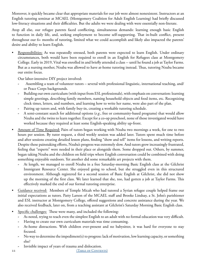Moreover, it quickly became clear that appropriate materials for our job were almost nonexistent. Instructors at an English tutoring seminar at MCAEL (Montgomery Coalition for Adult English Learning) had briefly discussed low-literacy situations and their difficulties. But the adults we were dealing with were essentially non-literate.

Atop all else, our refugee parents faced conflicting, simultaneous demands: learning enough basic English to function in daily life, and, seeking employment to become self-supporting. That in-built conflict, present throughout our 6+ months of tutoring, limited what we could accomplish and likely also impacted the parents' desire and ability to learn English.

• Responsibilities: As was repeatedly stressed, both parents were expected to learn English. Under ordinary circumstances, both would have been required to enroll in an English for Refugees class at Montgomery College. Early in 2019, Vital was enrolled in and briefly attended a class -- until he found a job at Taylor Farms. But as a nursing mother, Nzuba was allowed to have at-home tutoring instead. Thus, tutoring Nzuba became our entire focus.

Our labor-intensive DIY project involved:

- **-** Assembling a team of volunteer tutors several with professional linguistic, international teaching, and/ or Peace Corps backgrounds.
- **-** Building our own curriculum (with input from ESL professionals), with emphasis on conversation: learning simple greetings, describing family members, naming household objects and food items, etc. Recognizing clock times, letters, and numbers, and learning how to write her name, were also part of the plan.
- **-** Pairing up tutors and, with family buy-in, creating a workable tutoring schedule.
- **-** A semi-constant search for additional options (*e.g.*, free or community-based programs) that would allow Nzuba and the twins to learn together. Except for a co-op preschool, none of those investigated would have worked because they required at least some English-speaking ability up-front.
- Amount of Time Required: Pairs of tutors began working with Nzuba two mornings a week, for one to two hours per session. By tutor request, a third weekly session was added later. Tutors spent much time before and after sessions creating detailed lesson plans, finding "show and tell" items for lessons, and writing reports. Despite these painstaking efforts, Nzuba's progress was extremely slow. And tutors grew increasingly frustrated, feeling that "experts" were needed in their place or alongside them. Some dropped out. Others, by summer, began taking Nzuba and the children on field trips where English conversation could be combined with doing something enjoyable outdoors. Yet another did some remarkable art projects with them.
	- **-** At length, we managed to enroll Nzuba in a free Saturday-morning Basic English class at the Gilchrist Immigrant Resource Center. She enjoyed going to school, but she struggled even in this structured environment. Although registered for a second session of Basic English at Gilchrist, she did not show up the morning of the first class. We later learned that she, too, had gotten a job at Taylor Farms. This effectively marked the end of our formal tutoring enterprise.
- Guidance received: Members of Temple Micah who had tutored a Syrian refugee couple helped frame our initial expectations as tutors. Patty Larson of the MCAEL staff and Brooke Lindsay, a St. John's parishioner and ESL instructor at Montgomery College, offered suggestions and concrete assistance during the year. We also received feedback, later on, from a teaching assistant at Gilchrist's Saturday Morning Basic English class.
- Specific challenges: These were many, and included the following:
	- **-** As noted, trying to teach even the simplest English to an adult with no formal education was very difficult.
	- **-** Having to create our own curriculum materials was time consuming.
	- **-** At-home distractions. With children ever-present and no babysitter, it was hard for everyone to stay focused.
	- **-** No way to determine the impediment(s) to progress: lack of motivation, low learning capacity, or something else?
	- **-** Invisible impact of years of trauma and dislocation.

22 (TABLE OF CONTENTS)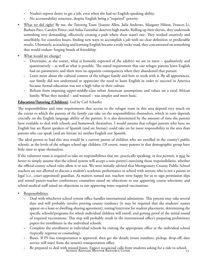- **-** Nzuba's express desire to get a job, even when she had no English-speaking ability.
- **-** No accountability structure, despite English being a "required" priority.
- What we did right? By me, the Tutoring Team (Joanne Allen, Julia Andrews, Margaret Hilton, Frances Li, Barbara Pace, Carolyn Peirce, and Anka Zaremba) deserves high marks. Rolling up their sleeves, they undertook something very demanding, effectively creating a path where there wasn't one. They worked creatively and unselfishly, for countless hours, finding new ways to accomplish a job with no clear definition or predictable results. Ultimately, as teaching and learning English became a truly rocky road, they concentrated on something that would endure: forging bonds of friendship.
- What would we change?
	- **-** Determine, at the outset, what is honestly expected of the adult(s) we are to tutor qualitatively and quantitatively – as well as what is possible. The stated requirement that our refugee parents learn English had no parameters; and there were no apparent consequences when they abandoned that pursuit.
	- **-** Learn more about the cultural context of the refugee family and how to work with it. By all appearances, our family did not understand or appreciate the need to learn English in order to succeed in America because formal education was not a high value in their culture.
	- **-** Refrain from imposing upper-middle-class urban American assumptions and values on a rural African family. What they needed – and wanted – was simpler and more basic.

#### **Education/Tutoring (Children)**: Led by Carl Schaefer

The responsibilities and time requirements that accrue to the refugee team in this area depend very much on the extent to which the parents of the family can take on the responsibilities themselves, which in turn depends crucially on the English language ability of the parents. It is also determined by the amount of time the parents have available to deal with schools and homework themselves. I would assume that refugee parents who have no English but are fluent speakers of Spanish (and are literate) could take on far more responsibility in the area than parents who can speak (and are literate in) neither English nor Spanish.

The ideal person to lead this area would be a current parent of children who are enrolled in the county's public schools, at the levels of the refugee school-age children. Of course, many parents in that demographic group have little time to spare themselves.

If the volunteer team is required to take on responsibilities that are, practically speaking, *in loco parentis*, it may be better to simply assume that the school system will accept a non-parent's exercising those responsibilities, whether the official county school rules allow it or not. We were initially advised that Montgomery County Public School teachers are not allowed to discuss a student's academic performance in school with anyone who is not a parent or legal (*i.e.*, court-appointed) guardian. As matters turned out, teachers were happy for us to sign permission slips and attend parent-teacher conferences; counselors raised no objections to our approving course selections; and school medical staff raised no objections to our approving some required vaccinations.

- Responsibilities:
	- **-** Deal with whichever school system office handles international admissions. This process may take several days and will probably involve proving county residence (it may be required that the students' names appear on a lease or dwelling-sharing agreement), testing/interview for student placement, determining the specific schools/programs for which individual children will enroll, and getting proof of the initial round of required vaccinations. This step will probably result in the international office's preparing preliminary papers for enrollment in the individual schools.
	- **-** Complete the enrollment at individual schools by visiting the appropriate office at the individual school (typically registrar or counseling).
	- Buses. If PS bus transportation is approved, then get the details (route numbers, pickup, drop-off, date service will start) from the system's transportation office.
	- Afghan Refugee Mentor Resource Guide 23 **-** Be prepared to deal with missed buses. Expect occasional calls from students asking for a ride to school.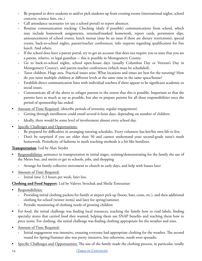- **-** Be prepared to drive students to and/or pick students up from evening events (international nights, school concerts, science fairs, etc.)
- **-** Call attendance secretaries (or use a school portal) to report absences.
- **-** Routine communication tracking: Checking (daily if possible) communications from school, which may include homework assignments, returned/marked homework, report cards, permission slips, announcements of school events, lunch menus (may be an issue if there are dietary restrictions), special events, back-to-school nights, parent/teacher conferences, info requests regarding qualification for free lunch. And others.
- **-** If the school does have a parent portal, try to get an account that does not require you to state that you are a parent, relative, or legal guardian -- this is possible in Montgomery County.
- **-** Go to back-to-school nights, school open-house days (usually Columbus Day or Veteran's Day in Montgomery County), and parent-teacher conferences (which must be scheduled).
- **-** Tutor children. Huge area. Practical issues arise: What locations and times are best for the tutoring? How do you tutor multiple children at different levels at the same time in the same space/house?
- **-** Establish direct communication lines with individual teachers if there appear to be significant academic or social issues.
- **-** Communicate all of the above to refugee parents to the extent that this is possible. Important so that the parents have as much as say as possible, but also to prepare parents for all these responsibilities once the period of sponsorship has ended.
- Amount of Time Required: (describe periods of intensity, regular engagement)
	- **-** Getting through enrollment could entail several 6-hour days, depending on number of children.
	- **-** Ideally, there would be some level of involvement almost every school day.
- Specific Challenges and Opportunities:
	- **-** Be prepared for difficulties in arranging tutoring schedules. Every volunteer has her/his own life to live.
	- Don't be surprised if you are older than 50 and cannot understand your second-grade tutee's math homework. Periodicity of fashions in math teaching methods is a bit like hemlines.

**Transportation**: Led by Alan Snyder

- Responsibilities: assistance in transportation in initial stages, training/demonstrating for the family the use of the Metro bus, and metro to get to schools, jobs, and shopping
	- **-** Arrange for family collective movement to church in early days, and help with busses later
- Amount of Time Required:
	- **-** Initial time 2-3 hours per week, later less.

#### **Clothing and Food Support**: Led by Valerye Strochak and Sheila Temourian

- Responsibilities:
	- **-** Providing initial clothing packets for family at airport pick up (boots, hats, coats, etc.), and then additional clothing for school (winter items) and later for spring/summer.
	- **-** Periodic monitoring of clothing needs of growing children
- For food, the initial challenge was finding local resources, teaching the family how to read labels, finding specialty stores that carried food they wanted, helping them use SNAP benefits and teaching them how to price items. For clothing, the initial challenge was finding clothing appropriate for the weather and sizes.
- Amount of Time Required:
	- **-** Initial engagement was intensive, ensuring everyone had appropriate clothing for the weather. The second round for Spring/Summer also was pretty intensive, but otherwise, needs were sporadic.
- **•** Specific Challenges and Opportunities: The size of the family made the clothing process, in particular, totally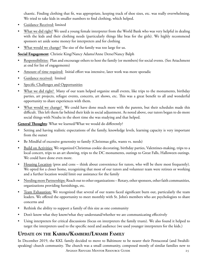chaotic. Finding clothing that fit, was appropriate, keeping track of shoe sizes, etc. was really overwhelming. We tried to take kids in smaller numbers to find clothing, which helped.

- Guidance Received: limited
- What we did right? We used a young female interpreter from the World Bank who was very helpful in dealing with the kids and their clothing needs (particularly things like bras for the girls). We highly recommend sponsors set aside some money for interpreters and for clothing
- What would we change? The size of the family was too large for us.

**Social Engagement**: Christie King/Nancy Adams/Anne Derse/Nancy Balph

- Responsibilities: Plan and encourage others to host the family (or members) for social events. (See Attachment at end for list of engagements)
- Amount of time required: Initial effort was intensive, later work was more sporadic
- Guidance received: limited
- Specific Challenges and Opportunities
- What we did right? Many of our team helped organize small events, like trips to the monuments, birthday parties, art projects, refugee events, concerts, art shows, etc. This was a great benefit to all and wonderful opportunity to share experiences with them.
- What would we change? We could have done much more with the parents, but their schedules made this difficult. This left them far behind their kids in social adjustment. As noted above, our tutors began to do more social things with Nzuba in the short time she was studying and that helped.

**General Thoughts**: What we learned/What we would do differently?

- Setting and having realistic expectations of the family, knowledge levels, learning capacity is very important from the outset
- Be Mindful of excessive generosity to family (Christmas gifts, wants vs. needs)
- Build on Activities: We organized Christmas cookie decorating, birthday parties, Valentines-making, trips to a local concert, trips to an art showing, trips to the DC monuments, outings to Great Falls, Halloween outings. We could have done even more.
- Housing Location (pros and cons think about convenience for tutors, who will be there most frequently). We opted for a closer home, recognizing that most of our tutors and volunteer team were retirees or working and a further location would limit our assistance for the family
- Needing more Partnerships: Reach out to other organizations Rotary, other sponsors, other faith communities, organizations providing furnishings, etc.
- Team Exhaustion: We recognized that several of our teams faced significant burn out, particularly the team leaders. We offered the opportunity to meet monthly with St. John's members who are psychologists to share concerns and
- Rethink the ability to support a family of this size as one community
- Don't know what they know/what they understand/whether we are communicating effectively
- Using interpreters for critical discussions (focus on interpreters the family trusts). We also found it helped to target the interpreters used to the specific need and audience (we used younger interpreters for the kids.)

## **Update on the Kabira/Kambere/Lwambi Family**

Afghan Refugee Mentor Resource Guide 25 In December 2019, the KKL family decided to move to Baltimore to be nearer their Pentacostal (and Swahilispeaking) church community. The church was a small community, composed mostly of similar families new to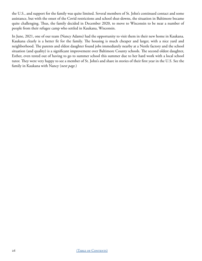the U.S., and support for the family was quite limited. Several members of St. John's continued contact and some assistance, but with the onset of the Covid restrictions and school shut-downs, the situation in Baltimore became quite challenging. Thus, the family decided in December 2020, to move to Wisconsin to be near a number of people from their refugee camp who settled in Kaukana, Wisconsin.

In June, 2021, one of our team (Nancy Adams) had the opportunity to visit them in their new home in Kaukana. Kaukana clearly is a better fit for the family. The housing is much cheaper and larger, with a nice yard and neighborhood. The parents and eldest daughter found jobs immediately nearby at a Nestle factory and the school situation (and quality) is a significant improvement over Baltimore County schools. The second oldest daughter, Esther, even tested out of having to go to summer school this summer due to her hard work with a local school tutor. They were very happy to see a member of St. John's and share in stories of their first year in the U.S. See the family in Kaukana with Nancy (*next page.*)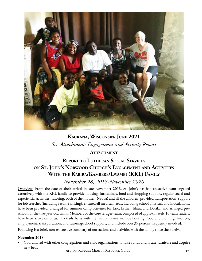

# **Kaukana, Wisconsin, June 2021** *See Attachment: Engagement and Activity Report*

### **ATTACHMENT**

## **Report to Lutheran Social Services on St. John's Norwood Church's Engagement and Activities With the Kabira/Kambere/Lwambi (KKL) Family**

### *November 28, 2018-November 2020*

Overview: From the date of their arrival in late November 2018, St. John's has had an active team engaged extensively with the KKL family to provide housing, furnishings, food and shopping support, regular social and experiential activities, tutoring, both of the mother (Nzuba) and all the children, provided transportation, support for job searches (including resume writing), ensured all medical needs, including school physicals and inoculations, have been provided, arranged for summer camp activities for Eric, Esther, Ishara and Dorika, and arranged preschool for the two-year-old twins. Members of the core refugee team, composed of approximately 10 team leaders, have been active on virtually a daily basis with the family. Teams include housing, food and clothing, finances, employment, transportation, and tutoring/school support, and include over 35 persons frequently involved.

Following is a brief, non-exhaustive summary of our actions and activities with the family since their arrival.

#### **November 2018:**

• Coordinated with other congregations and civic organizations to raise funds and locate furniture and acquire new beds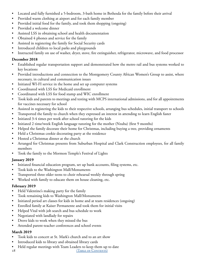- Located and fully furnished a 5-bedroom, 3-bath home in Bethesda for the family before their arrival
- Provided warm clothing at airport and for each family member
- Provided initial food for the family, and took them shopping (ongoing)
- Provided a welcome dinner
- Assisted LSS in obtaining school and health documentation
- Obtained 4 phones and service for the family
- Assisted in registering the family for Social Security cards
- Introduced children to local parks and playgrounds
- Instructed family on use of washer, dryer, stove, fire extinguisher, refrigerator, microwave, and food processor

### **December 2018**

- Established regular transportation support and demonstrated how the metro rail and bus systems worked to key locations
- Provided introductions and connection to the Montgomery County African Women's Group to assist, where necessary, in cultural and communication issues
- Initiated WI-FI service in the home and set up computer systems
- Coordinated with LSS for Medicaid enrollment
- Coordinated with LSS for food stamp and WIC enrollment
- Took kids and parents to meetings and testing with MCPS international admissions, and for all appointments for vaccines necessary for school
- Assisted in registering the kids to their respective schools, arranging bus schedules, initial transport to schools
- Transported the family to church when they expressed an interest in attending to learn English faster
- Initiated 3-4 times per week after school tutoring for the kids
- Initiated 2 time/week English language tutoring for the mother (Nzuba) (first 9 months)
- Helped the family decorate their home for Christmas, including buying a tree, providing ornaments
- Held a Christmas cookie decorating party at the residence
- Hosted a Christmas dinner at the church
- Arranged for Christmas presents from Suburban Hospital and Clark Construction employees, for all family members
- Took the family to the Mormon Temple's Festival of Lights

### **January 2019**

- Initiated financial education program, set up bank accounts, filing systems, etc.
- Took kids to the Washington Mall/Monuments
- Transported three older teens to choir rehearsal weekly through spring
- Worked with family to educate them on house cleaning, etc.

### **February 2019**

- Held Valentine's making party for the family
- Took remaining kids to Washington Mall/Monuments
- Initiated period art classes for kids in home and at team residences (ongoing)
- Enrolled family at Kaiser Permanente and took them for initial visits
- Helped Vital with job search and bus schedule to work
- Negotiated with landlady for repairs
- Drove kids to work when they missed the bus
- Attended parent-teacher conferences and school events

### **March 2019**

- Took kids to concert at St. Mark's church and to an art show
- Introduced kids to library and obtained library cards
- 28 (TABLE OF CONTENTS) • Held regular meetings with Team Leaders to keep them up to date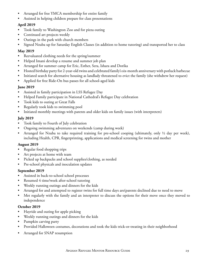- Arranged for free YMCA membership for entire family
- Assisted in helping children prepare for class presentations

#### **April 2019**

- Took family to Washington Zoo and for pizza outing
- Continued art projects weekly
- Outings in the park with church members
- Signed Nzuba up for Saturday English Classes (in addition to home tutoring) and transported her to class

#### **May 2019**

- Reevaluated clothing needs for the spring/summer
- Helped Imani develop a resume and summer job plan
- Arranged for summer camp for Eric, Esther, Sera, Ishara and Dorika
- Hosted birthday party for 2-year-old twins and celebrated family's six-month anniversary with potluck barbecue
- Initiated search for alternative housing as landlady threatened to evict the family (she withdrew her request)
- Applied for free Ride-On bus passes for all school-aged kids

#### **June 2019**

- Assisted in family participation in LSS Refugee Day
- Helped Family participate in National Cathedral's Refugee Day celebration
- Took kids to outing at Great Falls
- Regularly took kids to swimming pool
- Initiated monthly meetings with parents and older kids on family issues (with interpreters)

#### **July 2019**

- Took family to Fourth of July celebration
- Ongoing swimming adventures on weekends (camp during week)
- Arranged for Nzuba to take required training for pre-school cooping (ultimately, only  $\frac{1}{2}$  day per week), including Health, CPR, fingerprinting, applications and medical screening for twins and mother

#### **August 2019**

- Regular food shopping trips
- Art projects at home with team
- Picked up backpacks and school supplies/clothing, as needed
- Pre-school physicals and inoculation updates

#### **September 2019**

- Assisted in back-to-school school processes
- Resumed 4 time/week after-school tutoring
- Weekly running outings and dinners for the kids
- Arranged for and attempted to register twins for full time days are(parents declined due to need to move
- Met regularly with the family and an interpreter to discuss the options for their move once they moved to independence

#### **October 2019**

- Hayride and outing for apple picking
- Weekly running outings and dinners for the kids
- Pumpkin carving party
- Provided Halloween costumes, decorations and took the kids trick-or-treating in their neighborhood
- Arranged for SNAP resumption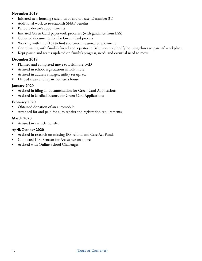#### **November 2019**

- Initiated new housing search (as of end of lease, December 31)
- Additional work to re-establish SNAP benefits
- Periodic doctor's appointments
- Initiated Green Card paperwork processes (with guidance from LSS)
- Collected documentation for Green Card process
- Working with Eric (16) to find short-term seasonal employment
- Coordinating with family's friend and a pastor in Baltimore to identify housing closer to parents' workplace
- Kept parish and teams updated on family's progress, needs and eventual need to move

#### **December 2019**

- Planned and completed move to Baltimore, MD
- Assisted in school registrations in Baltimore
- Assisted in address changes, utility set up, etc.
- Helped clean and repair Bethesda house

#### **January 2020**

- Assisted in filing all documentation for Green Card Applications
- Assisted in Medical Exams, for Green Card Applications

#### **February 2020**

- Obtained donation of an automobile
- Arranged for and paid for auto repairs and registration requirements

#### **March 2020**

• Assisted in car title transfer

#### **April/October 2020**

- Assisted in research on missing IRS refund and Care Act Funds
- Contacted U.S. Senator for Assistance on above
- Assisted with Online School Challenges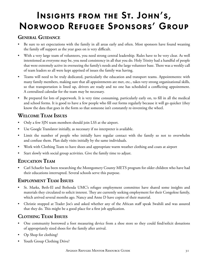# <span id="page-30-0"></span>Insights from the St. John's, Norwood Refugee Sponsors' Group

## **General Guidance**

- Be sure to set expectations with the family in all areas early and often. Most sponsors have found weaning the family off support as the year goes on is very difficult.
- With a very large team of volunteers, you need strong central leadership. Rules have to be very clear. As well intentioned as everyone may be, you need consistency in all that you do. Holy Trinity had a handful of people that were extremely active in overseeing the family's needs and the large volunteer base. There was a weekly call of team leaders so all were kept apprised of issues the family was having.
- Teams will need to be truly dedicated, particularly the education and transport teams. Appointments: with many family members, making sure that all appointments are met, etc., takes very strong organizational skills, so that transportation is lined up, drivers are ready and no one has scheduled a conflicting appointment. A centralized calendar for the team may be necessary.
- Be prepared for lots of paperwork. It is very time consuming, particularly early on, to fill in all the medical and school forms. It is good to have a few people who fill out forms regularly because it will go quicker (they know the data that goes in the form so that someone isn't constantly re-inventing the wheel.

## **Welcome Team Issues**

- Only a few SJN team members should join LSS at the airport.
- Use Google Translator initially, as necessary if no interpreter is available.
- Limit the number of people who initially have regular contact with the family so not to overwhelm and confuse them. Plan daily visits initially by the same individuals.
- Work with Clothing Team to have shoes and appropriate warm weather clothing and coats at airport
- Start slowly with social group activities. Give the family time to adjust.

# **Education Team**

• Carl Schaefer has been researching the Montgomery County METS program for older children who have had their educations interrupted. Several schools serve this purpose.

# **Employment Team Issues**

- St. Marks, Beth-El and Bethesda UMC's refugee employment committee have shared some insights and materials they circulated to solicit interest. They are currently seeking employment for their Congolese family, which arrived several months ago. Nancy and Anne D have copies of their material.
- Christie stopped at Trader Joe's and asked whether any of the African staff speak Swahili and was assured that they do. This might be a good place for a first job application.

# **Clothing Team Issues**

- One community borrowed a foot measuring device from a shoe store so they could find/solicit donations of appropriately sized shoes for the family after arrival.
- Op Shop for clothing?
- Youth Group Clothing Drive?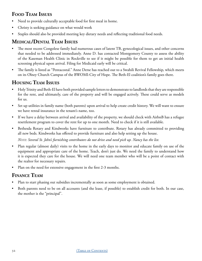## **Food Team Issues**

- Need to provide culturally acceptable food for first meal in home.
- Christy is seeking guidance on what would work
- Staples should also be provided meeting key dietary needs and reflecting traditional food needs.

# **Medical/Dental Team Issues**

- The most recent Congolese family had numerous cases of latent TB, gynecological issues, and other concerns that needed to be addressed immediately. Anne D. has contacted Montgomery County to assess the ability of the Kaseman Health Clinic in Rockville to see if it might be possible for them to get an initial health screening physical upon arrival. Filing for Medicaid early will be critical.
- The family is listed as "Pentacostal." Anne Derse has reached out to a Swahili Revival Fellowship, which meets on its Olney Church Campus of the BWOMI-City of Hope. The Beth-El coalition's family goes there.

## **Housing Team Issues**

- Holy Trinity and Beth-El have both provided sample letters to demonstrate to landlords that they are responsible for the rent, and ultimately, care of the property and will be engaged actively. These could serve as models for us.
- Set up utilities in family name (both parents) upon arrival to help create credit history. We will want to ensure we have rental insurance in the tenant's name, too.
- If we have a delay between arrival and availability of the property, we should check with AirbnB has a refugee resettlement program to cover the rent for up to one month. Need to check if it is still available.
- Bethesda Rotary and Kindworks have furniture to contribute. Rotary has already committed to providing all new beds. Kindworks has offered to provide furniture and also help setting up the house.

*Note: Several St. John's furnishing contributors do not drive and need pick up. Nancy has the list.* 

- Plan regular (almost daily) visits to the home in the early days to monitor and educate family on use of the equipment and appropriate care of the home. Teach, don't just do. We need the family to understand how it is expected they care for the house. We will need one team member who will be a point of contact with the realtor for necessary repairs.
- Plan on the need for extensive engagement in the first 2-3 months.

### **Finance Team**

- Plan to start phasing out subsidies incrementally as soon as some employment is obtained.
- Both parents need to be on all accounts (and the lease, if possible) to establish credit for both. In our case, the mother is the "principal".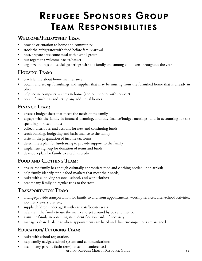# Refugee Sponsors Group Team Responsibilities

## <span id="page-32-0"></span>**Welcome/Fellowship Team**

- provide orientation to home and community
- stock the refrigerator with food before family arrival
- host/prepare a welcome meal with a small group
- put together a welcome packet/basket
- organize outings and social gatherings with the family and among volunteers throughout the year

## **Housing Team:**

- teach family about home maintenance
- obtain and set up furnishings and supplies that may be missing from the furnished home that is already in place;
- help secure computer systems in home (and cell phones with service?)
- obtain furnishings and set up any additional homes

## **Finance Team:**

- create a budget sheet that meets the needs of the family
- engage with the family in financial planning, monthly finance/budget meetings, and in accounting for the spending of raised funds;
- collect, distribute, and account for new and continuing funds
- teach banking, budgeting and basic finance to the family
- assist in the preparation of income tax forms
- determine a plan for fundraising to provide support to the family
- implement sign-up for donation of items and funds
- develop a plan for family to establish credit

# **Food and Clothing Team:**

- ensure the family has enough culturally-appropriate food and clothing needed upon arrival;
- help family identify ethnic food markets that meet their needs;
- assist with supplying seasonal, school, and work clothes;
- accompany family on regular trips to the store

## **Transportation Team:**

- arrange/provide transportation for family to and from appointments, worship services, after-school activities, job interviews, stores etc;
- supply children under age 8 with car seats/booster seats
- help train the family to use the metro and get around by bus and metro;
- assist the family in obtaining state identification cards, if necessary
- manage a shared calendar where appointments are listed and drivers/companions are assigned

# **Education/Tutoring Team:**

- assist with school registration,
- help family navigate school system and communications
- accompany parents (latin term) to school conferences?

Afghan Refugee Mentor Resource Guide 33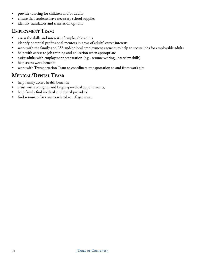- provide tutoring for children and/or adults
- ensure that students have necessary school supplies
- identify translators and translation options

## **Employment Team:**

- assess the skills and interests of employable adults
- identify potential professional mentors in areas of adults' career interests
- work with the family and LSS and/or local employment agencies to help to secure jobs for employable adults
- help with access to job training and education when appropriate
- assist adults with employment preparation (e.g., resume writing, interview skills)
- help assess work benefits
- work with Transportation Team to coordinate transportation to and from work site

## **Medical/Dental Team:**

- help family access health benefits;
- assist with setting up and keeping medical appointments;
- help family find medical and dental providers
- find resources for trauma related to refugee issues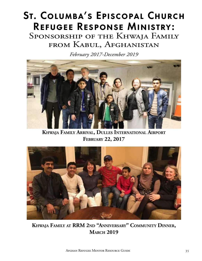# <span id="page-34-0"></span>St. Columba's Episcopal Church Refugee Response Ministry:

SPONSORSHIP OF THE KHWAJA FAMILY from Kabul, Afghanistan

*February 2017-December 2019*



**Khwaja Family Arrival, Dulles International Airport February 22, 2017**



**Khwaja Family at RRM 2nd "Anniversary" Community Dinner, March 2019**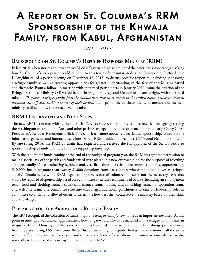# A Report on St. Columba's RRM Sponsorship of the Khwaja Family, from Kabul, Afghanistan

### *2017-2019*

## **Background on St. Columba's Refugee Response Ministry (RRM)**

In late 2015, when stories about war-weary Middle Eastern refugees dominated the news, parishioners began asking how St. Columba's, as a parish, could respond to this terrible humanitarian disaster. In response, Rector Ledlie I. Laughlin called a parish meeting on December 18, 2015, to discuss possible responses, including sponsoring a refugee family as well as creating opportunities for greater understanding in the face of anti-Muslim hatred and rhethoric. From a follow-up meeting with interested parishioners in January 2016, came the creation of the Refugee Response Ministry (RRM) led by co-chairs, James Losey and Deacon Jean Ann Wright, with the stated mission: *To sponsor a refugee family from the Middle East, help them resettle in the United States, and assist them in becoming self-sufficient within one year of their arrival.* That spring, the co-chairs met with members of the new ministry to discern how to best achieve this mission.

### **RRM Discernment and Next Steps**

The new RRM team met with Lutheran Social Services (LLS), the primary refugee resettlement agency serving the Washington Metropolitan Area, and other parishes engaged in refugee sponsorship, particularly Chevy Chase Prebyterian's Refugee Resettlement Task Force, to learn more about refugee family sponsorship. Based on the information gathered and internal discussions, St. C's RRM decided to become a LSS "Good Neighbor Sponsor." By late spring 2016, the RRM co-chairs had requested and received the full approval of the St. C's vestry to sponsor a refugee family and raise funds to support sponsorship.

With the request for funds coming at the end of the budgeted program year, the RRM was granted permission to make a special ask of the parish and funds raised were placed in a new outreach fund for the purposes of resettling a refugee family. Once fundraising began, it took very little time – less than three months – to raise approximately \$40,000, including more than twenty \$1,000 donations from parishioners who came to be known as "refugee angels." Simultaneously, the RRM began to organize teams of volunteers to carry out the necessary tasks that would be required of sponsorship based on a committee structure recommended by LSS, including an employment team, food and clothing team, health team, finance team, housing and furnishing team, transportation team, and welcome team. The committee structure encouraged additional parishioners to take on leadership roles as committee co-chairs and allowed others to determine how best they could serve the ministry based on their skills and knowledge.

### **Preparing for the Arrival of a Refugee Family**

The RRM recognized the collection of furnishings for a refugee family's new home as an important next step. At this point in time, LSS was unclear approximately how long it would take to be matched with a refugee family. Thus, in August 2016, the Housing and Welcome committees launched a drive to collect home furnishings, primarily new, from the parish using LSS's "Welcome Boxes" list of furnishings as a guide. In less than one month, all the items requested from the parish were collected and stored in the home of a parishioner. Furniture – primarily used – also was collected and placed in a storage unit rented by the RRM.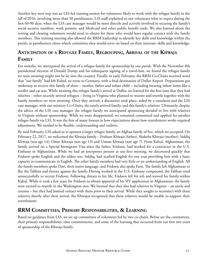Another key next step was an LSS-led training session for volunteers likely to work with the refugee family in the fall of 2016, involving more than 50 parishioners. LSS staff explained to our volunteers what to expect during the first 60-90 days, when the LSS case manager would be most directly and actively involved in securing the family's social security numbers, work permits, and Medicaid and other public benefit cards. We also learned about the vetting and clearing volunteers would need to obtain for those who would have regular contact with the family members. This training meeting also allowed the RRM leadership to identify key skills and knowledge within the parish, as parishioners chose which committee they would serve on based on their interests, skills and knowledge.

## **Anticipation of a Refugee Family, Regrouping, Arrival of the Khwaja Family**

For months, we anticipated the arrival of a refugee family for sponsorship by our parish. With the November 8th presidential election of Donald Trump and his subsequent signing of a travel-ban, we feared the refugee family we were awaiting might not be let into the country. Finally, in early February, the RRM Co-Chairs received word that "our family" had left Kabul, en route to Germany, with a final destination of Dulles Airport. Preparations got underway to receive this family of three – mother, father and infant child – including locating infant items like a stroller and car seat. While awaiting this refugee family's arrival at Dulles, we learned for the first time that they had relatives – other recently arrived refugees – living in Virginia who planned to reunite and resettle together with the family members we were awaiting. Once they arrived, a discussion took place, aided by a translator and the LSS case manager, with our ministry Co-Chairs, the newly arrived family, and this family's relatives. Ultimately, despite the advice of the LSS case manager, the refugee family we anticipated sponsoring decided to live with relatives in Virginia without sponsorship. While we were disappointed, we remained committed and applied for another refugee family via LSS. It was the first of many lessons in how expectations about how resettlement works required adjustment. We needed to be flexible, understanding and realistic.

By mid-February, LSS asked us to sponsor a larger refugee family, an Afghan family of five, which we accepted. On February 22, 2017, we welcomed the Khwaja family – Fridoon Khwaja (father), Shakeba Khwaja (mother), Siddiq Khwaja (son age 14), Omer Khwaja (son age 13) and Usman Khwaja (son age 7). From Kabul, Afghanistan, the family arrived on a Special Immigrant Visa since the father, Fridoon, had worked for a contractor in the U.S. Embassy in Afghanistan. While we had an interpreter present at our first meeting, we discovered quickly that Fridoon spoke English and the oldest son, Siddiq, had studied English for one year providing him with a basic capacity to communicate in English. The other family members had very little or no understanding of English. All the family members spoke Dari, their native language, and Fridoon also spoke Farsi. The family left Afghanistan to flee the Taliban and threats against the family. Having worked in the U.S. Embassy compound, the Taliban tried unsuccessfully to recruit Fridoon. Following threats to his life, Fridoon left his job and moved his family within Kabul. While it took a few years for Fridoon to obtain approval of his SIV application in Afghanistan, the family were excited to resettle in the Washington area. We learned that they also had relatives in Virginia – an uncle and cousins – but they had limited contact with them prior to their arrival. While they sought to reconnect with these relatives shortly after their arrival, the Khwajas recognized that these relatives would be unable to support their resettlement.

### **RRM Committees, Primary Responsibilities, & Learning**

Based on guidance from LSS, we set up committees of volunteers led by two co-chairs. Below are the committees, their primary responsibilities, time commitments, and some of the learning that occurred from our first two years of sponsorship of the Khwaja family.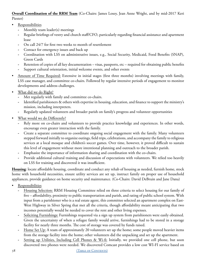**Overall Coordination of the RRM Team** (Co-Chairs: James Losey, Jean Anne Wright, and by mid-2017 Keri Piester)

- Responsibilities
	- **-** Monthly team leader(s) meetings
	- **-** Regular briefings of vestry and church staff/CFO, particularly regarding financial assistance and apartment lease
	- **-** On call 24/7 for first two weeks to month of resettlement
	- **-** Contact for emergency issues and back up
	- **-** Coordination with LSS on administrative issues, e.g., Social Security, Medicaid, Food Benefits (SNAP), Green Cards
	- **-** Retention of copies of all key documentation visas, passports, etc required for obtaining public benefits
	- **-** Support cultural orientation, initial welcome events, and other events
- Amount of Time Required: Extensive in initial stages (first three months) involving meetings with family, LSS case manager, and committee co-chairs. Followed by regular intensive periods of engagement to monitor developments and address challenges.
- What did we do Right?
	- **-** Met regularly with family and committee co-chairs.
	- **-** Identified parishioners & others with expertise in housing, education, and finance to support the ministry's mission, including interpreters.
	- **-** Regularly updated volunteers and broader parish on family's progress and volunteer opportunities
- What would we do Differently?
	- **-** Rely more on co-chairs and volunteers to provide practice knowledge and experiences. In other words, encourage even greater interaction with the family.
	- **-** Create a separate committee to coordinate ongoing social engagement with the family. Many volunteers stepped forward initially to organize outings, field trips, celebrations, and accompany the family to religious services at a local mosque and children's soccer games. Over time, however, it proved difficult to sustain this level of engagement without more intentional planning and outreach to the broader parish.
	- **-** Emphasize the importance of information sharing and coordination with the co-chairs.
	- **-** Provide additional cultural training and discussion of expectations with volunteers. We relied too heavily on LSS for training and discovered it was insufficient.

**Housing**: locate affordable housing, coordinate and conduct any rehab of housing as needed, furnish home, stock home with household necessities, ensure utility services are set up, instruct family on proper use of household appliances, provide guidance on home security and maintenance. (Co-Chairs: David DeBruin and Jane Dana)

- Responsibilities
	- **-** Housing Selection: RRM Housing Committee relied on three criteria to select housing for our family of five – affordability, proximity to public transportation and parish, and rating of public school system. With input from a parishioner who is a real estate agent, this committee selected an apartment complex on East-West Highway in Silver Spring that met all the criteria, though affordability meant anticipating that two incomes potentially would be needed to cover the rent and other living expenses.
	- **-** Soliciting Furnishings: Furnishings requested via a sign up system from parishioners were easily obtained. Given the uncertainty of when a refugee family would arrive, furnishings had to be stored in a storage facility for nearly three months. The cost of storage was covered by funds raised.
	- **-** Home Set Up: A team of approximately 20 volunteers set up the home; some people moved heavier items from the storage facility into the home; other volunteers did the unpacking and set up the apartment.
	- Setting up Utilities, Including Cell Phones & Wi-fi: Initially, we provided one cell phone, but soon discovered two phones were needed. We discovered Comcast provides a low cost WI-FI service based on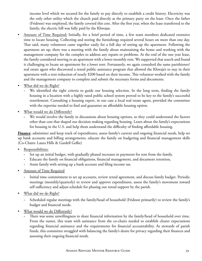income level which we secured for the family to pay directly to establish a credit history. Electricity was the only other utility which the church paid directly as the primary party on the lease. Once the father (Fridoon) was employed, the family covered this cost. After the first year, when the lease transferred to the family, the electric bill was fully paid by the Khwajas.

- Amount of Time Required: Initially, for a brief period of time, a few team members dedicated extensive time to locate housing. Collecting and storing the furnishings required several hours on more than one day. That said, many volunteers came together easily for a full day of setting up the apartment. Following the apartment set up, there was a meeting with the family about maintaining the home and working with the management company for the complex to address any repairs or problems. At the end of the one year lease, the family considered moving to an apartment with a lower monthly rent. We supported that search and found it challenging to locate an apartment for a lower rent. Fortunately, we again consulted the same parishioner/ real estate agent who discovered a rental public assistance program that allowed the Khwaja's to stay in their apartment with a rent reduction of nearly \$200 based on their income. This volunteer worked with the family and the management company to complete and submit the necessary forms and documents.
- What did we do Right?
	- **-** We identified the right criteria to guide our housing selection. In the long term, finding the family housing in a location with a highly rated public school system proved to be key to the family's successful resettlement. Consulting a housing expert, in our case a local real estate agent, provided the committee with the expertise needed to find and guarantee an affordable housing option.
- What would we do Differently?
	- **-** We would involve the family in discussions about housing options, so they could understand the factors other than cost that shaped our decision making regarding housing. Learn about the family's expectations for housing in the U.S. and help them understand the difficulty of finding affordable housing.

**Finance**: administer and keep track of expenditures, assess family's current and ongoing financial needs, help set up bank accounts and billing arrangements, educate the family on budgeting and financial management skills (Co-Chairs: Laura Hills & Gardell Gefke)

- Responsibilities:
	- **-** Set up an initial budget, with gradually phased increases in payments for rent from the family.
	- **-** Educate the family on financial obligations, financial management, and document retention,
	- **-** Assist family with setting up a bank account and filing income tax.
- Amount of Time Required
	- **-** Initial time commitment to set up accounts, review rental agreement, and discuss family budget. Periodic meetings (monthly/quarterly) to review and approve expenditures, assess the family's movement toward self sufficiency and adjust schedule for phasing out rental support by the parish.
- What did we do Right?
	- **-** Scheduled regular meetings with the family/head of household (Fridoon primarily) to review the family's budget and financial needs.
- What would we do Differently?
	- **-** There was some unwillingness to share financial information by the family/head of household over time. From the outset, this team with assistance from the co-chairs needed to establish clearer expectations regarding financial assistance and the requirements for financial accountability. As stewards of parish funds, this committee struggled with balancing the family's desire for privacy regarding their finances and assessing their ongoing financial needs.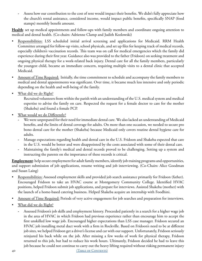**-** Assess how our contribution to the cost of rent would impact their benefits. We didn't fully appreciate how the church's rental assistance, considered income, would impact public benefits, specifically SNAP (food stamps) monthly benefit amount.

**Health**: set up medical appointments and follow-ups with family members and coordinate ongoing attention to medical and dental health. (Co-chairs: Adrienne Clamp and Judith Kozlowski)

- Responsibilities: LSS scheduled initial arrival screening and applications for Medicaid. RRM Health Committee arranged for follow-up visits, school physicals, and set up files for keeping track of medical records, especially children's vaccination records. This team was on call for medical emergencies which the family did experience during their first year. Guidance also was provided to the father (Fridoon) on seeking treatment and ongoing physical therapy for a work-related back injury. Dental care for all the family members, particularly the youngest child, became an immediate concern, requiring multiple visits to a dental clinic that accepted Medicaid.
- Amount of Time Required: Initially, the time commitment to schedule and accompany the family members to medical and dental appointments was significant. Over time, it became much less intensive and only periodic depending on the health and well-being of the family.
- What did we do Right?

Recruited volunteers from within the parish with an understanding of the U.S. medical system and medical expertise to advise the family on care. Respected the request for a female doctor to care for the mother (Shakeba) and found a female PCP.

- What would we do Differently?
	- **-** We were unprepared for their need for immediate dental care. We also lacked an understanding of Medicaid benefits, and the limits of dental coverage for adults. On more than one occasion, we needed to secure pro bono dental care for the mother (Shakeba) because Medicaid only covers routine dental hygiene care for adults.
	- **-** Manage expectations regarding health and dental care in the U.S. Fridoon and Shakeba expected that care in the U.S. would be better and were disappointed by the costs associated with some of their dental care.
	- **-** Maintaining the family's medical and dental records proved to be challenging. Setting up a system and instructing the parents on the importance of these records is critical.

**Employment**: help secure employment for adult family members, identify job training programs and opportunities, and support submission of job applications, resume writing and job interviewing. (Co-Chairs: Alice Goodman and Susan Laing)

- Responsibilities: Assessed employment skills and provided job search assistance primarily for Fridoon (father). Encouraged Fridoon to take an HVAC course at Montgomery Community College. Identified HVAC positions, helped Fridoon submit job applications, and prepare for interviews. Assisted Shakeba (mother) with the launch of a home-based catering business. Helped Shakeba acquire an internship with Foodhini.
- Amount of Time Required: Periods of very active engagement for job searches and preparation for interviews.
- What did we do Right?
	- **-** Assessed Fridoon's job skills and employment history. Proceeded patiently in a search for a higher wage job in the area of HVAC in which Fridoon had previous experience rather than encourage him to accept the first unskilled low wage job. Encouraged higher expectations than LSS case manager. Fridoon secured an HVAC job installing metal duct work with a firm in Rockville. Based on Fridoon's need to be at different job sites, we helped Fridoon get a driver's license and car with our support. Unfortunately, Fridoon seriously reinjured his back while on the job. After missing a few weeks of work for physical therapy, Fridoon returned to this job, but had to reduce his work hours. Ultimately, Fridoon decided he had to leave this job because he could not continue to carry out the heavy lifting required without risking permanent injury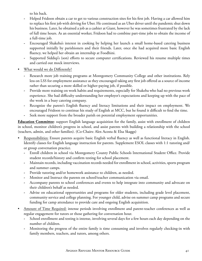to his back.

- **-** Helped Fridoon obtain a car to get to various construction sites for his first job. Having a car allowed him to replace his first job with driving for Uber. He continued as an Uber driver until the pandemic shut down his business. Later, he obtained a job as a cashier at Giant, however he was sometimes frustrated by the lack of full time hours. As an essential worker, Fridoon had to combine part-time jobs to obtain the income of a full-time job.
- **-** Encouraged Shakeba's interest in cooking by helping her launch a small home-based catering business supported initially by parishioners and their friends. Later, once she had acquired more basic English fluency, we helped her obtain an internship at Foodhini.
- **-** Supported Siddiqi's (son) efforts to secure computer certifications. Reviewed his resume multiple times and carried out mock interviews.
- What would we do Differently?
	- **-** Research more job training programs at Montgomery Community College and other institutions. Rely less on LSS for employment assistance as they encouraged taking any first job offered as a source of income rather than securing a more skilled or higher-paying job, if possible.
	- **-** Provide more training on work habits and requirements, especially for Shakeba who had no previous work experience. She had difficulty understanding her employer's expectations and keeping up with the pace of the work in a busy catering company.
	- **-** Recognize the parent's English fluency and literacy limitations and their impact on employment. We encouraged Fridoon to continue his study of English at MCC, but he found it difficult to find the time.
	- **-** Seek more support from the broader parish on potential employment opportunities.

**Education Committee**: support English language acquisition for the family, assist with enrollment of children in school, monitor children's progress in school, and assist parents with building a relationship with the school (teachers, admin, and other families). (Co-Chairs: Alex Acosta & Elsa Skaggs)

- Responsibilities: Ensure parents acquire basic English verbal fluency as well as functional literacy in English. Identify classes for English language instruction for parents. Supplement ESOL classes with 1:1 tutoring and/ or group conversation practice.
	- **-** Enroll children in school via Montgomery County Public Schools International Student Office. Provide student records/history and confirm testing for school placement.
	- **-** Maintain records, including vaccination records needed for enrollment in school, activities, sports program and summer camps.
	- **-** Provide tutoring and/or homework assistance to children, as needed.
	- **-** Monitor and Instruct the parents on school/teacher communication via email.
	- **-** Accompany parents to school conferences and events to help integrate into community and advocate on their children's behalf as needed.
	- **-** Advise on educational opportunities and programs for older students, including grade level placement, community service and college planning. For younger child, advise on summer camp programs and secure funding for camp attendance to provide care and ongoing English acquisition.
- Amount of Time Required: intense periods involving enrollment and parent-teacher conferences as well as regular engagement for tutors or those gathering for conversation hour.
	- **-** School enrollment and testing is intense, involving several days for a few hours each day depending on the number of children.
	- **-** Monitoring the progress of the entire family is time consuming and involves regularly checking-in with family members, teachers, and tutors, among others.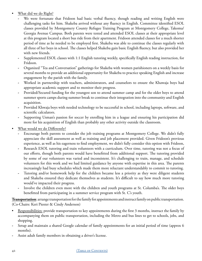- What did we do Right?
	- We were fortunate that Fridoon had basic verbal fluency, though reading and writing English were challenging tasks for him. Shakeba arrived without any fluency in English. Committee identified ESOL classes provided by Montgomery County Refugee Training Program at Montgomery College, Takoma/ Georgia Avenue Campus. Both parents were tested and attended ESOL classes at their appropriate level at this program located a short bus ride from their apartment. Fridoon attended classes for a much shorter period of time as he needed to be employed first. Shakeba was able to continue the classes regularly with all three of her boys in school. The classes helped Shakeba gain basic English fluency, but also provided her with new friends.
	- **-** Supplemented ESOL classes with 1:1 English tutoring weekly, specifically English reading instruction, for Fridoon.
	- **-** Organized "Tea and Conversation" gatherings for Shakeba with women parishioners on a weekly basis for several months to provide an additional opportunity for Shakeba to practice speaking English and increase engagement by the parish with the family.
	- **-** Worked in partnership with teachers, administrators, and counselors to ensure the Khawaja boys had appropriate academic support and to monitor their progress.
	- **-** Provided/Secured funding for the youngest son to attend summer camp and for the older boys to attend summer sports camps during summer break to continue their integration into the community and English acquisition.
	- **-** Provided Khwaja boys with needed technology to be successful in school, including laptops, software, and scientific calculators.
	- **-** Supporting Usman's passion for soccer by enrolling him in a league and ensuring his participation did more for his acquisition of English than probably any other activity outside the classroom.
- What would we do Differently?
	- **-** Encourage both parents to consider the job training programs at Montgomery College. We didn't fully appreciate the skill assessment as well as training and job placement provided. Given Fridoon's previous experience, as well as his eagerness to find employment, we didn't fully consider this option with Fridoon,
	- **-** Research ESOL tutoring and train volunteers with a curriculum. Over time, tutoring was not a focus of our efforts, though both parents would have benefitted from additional support. The tutoring provided by some of our volunteers was varied and inconsistent. It's challenging to train, manage, and schedule volunteers for this work and we had limited guidance by anyone with expertise in this area. The parents increasingly had busy schedules which made them more reluctant understandably to commit to tutoring.
	- **-** Tutoring and/or homework help for the children became less a priority as they were diligent students and Shakeba ensured they dedicate themselves as students. It's difficult to say how much more tutoring would've impacted their progress.
	- **-** Involve the children even more with the children and youth programs at St. Columba's. The older boys benefitted from participating in a summer service program with St. C's youth.

**Transportation**: arrange transportation for the family for appointments and instruct family on public transportation. (Co-Chairs: Keri Piester & Cindy Anderson)

- Responsibilities: provide transportation to key appointments during the first 3 months, instruct the family by accompanying them on public transportation, including the Metro and bus lines to get to schools, jobs, and shopping.
- **-** Setup and maintain a shared Google calendar of family appointments for an initial period of time (approx 6 months).
- **-** Assist adult family members in obtaining a driver's license.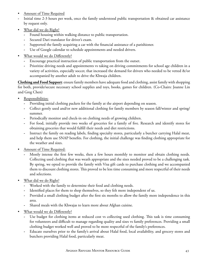- Amount of Time Required
- **-** Initial time 2-3 hours per week, once the family understood public transportation & obtained car assistance by request only.
- What did we do Right?
	- **-** Found housing within walking distance to public transportation.
	- **-** Secured Dari translator for driver's exam.
	- **-** Supported the family acquiring a car with the financial assistance of a parishioner.
	- **-** Use of Google calendar to schedule appointments and needed drivers.
- What would we do Differently?
	- **-** Encourage practical instruction of public transportation from the outset.
	- **-** Prioritize driving needs and appointments vs taking on driving commitments for school age children in a variety of activities, especially soccer, that increased the demand for drivers who needed to be vetted &/or accompanied by another adult to drive the Khwaja children.

**Clothing and Food Support**: ensure family members have adequate food and clothing, assist family with shopping for both, provide/secure necessary school supplies and toys, books, games for children. (Co-Chairs: Joanne Lin and Greg Chen)

- Responsibilities:
	- **-** Providing initial clothing packets for the family at the airport depending on season.
	- **-** Collect gently used and/or new additional clothing for family members by season fall/winter and spring/ summer.
	- **-** Periodically monitor and check-in on clothing needs of growing children.
	- **-** For food, initially provide two weeks of groceries for a family of five. Research and identify stores for obtaining groceries that would fulfill their needs and diet restrictions.
	- **-** Instruct the family on reading labels, finding specialty stores, particularly a butcher carrying Halal meat, and help them use SNAP benefits. For clothing, the initial challenge was finding clothing appropriate for the weather and sizes.
- Amount of Time Required:
	- **-** Mostly intense the first few weeks, then a few hours monthly to monitor and obtain clothing needs. Collecting used clothing that was weath appropriate and the sizes needed proved to be a challenging task. By spring, we opted to provide the family with Visa gift cards to purchase clothing and we accompanied them to discount clothing stores. This proved to be less time consuming and more respectful of their needs and selections.
- What did we do Right?
	- **-** Worked with the family to determine their food and clothing needs.
	- **-** Identified places for them to shop themselves, so they felt more independent of us.
	- **-** Provided a small clothing budget after the first six months to allow the family more independence in this area.
	- **-** Shared meals with the Khwajas to learn more about Afghan cuisine.
- What would we do Differently?
	- **-** Use budget for clothing items at reduced cost vs collecting used clothing. This task is time consuming for volunteers and difficult to manage regarding quality and sizes vs family preferences. Providing a small clothing budget worked well and proved to be more respectful of the family's preferences.
	- **-** Educate ourselves prior to the family's arrival about Halal food, local availability, and grocery stores and butchers providing Halal food, particularly meat.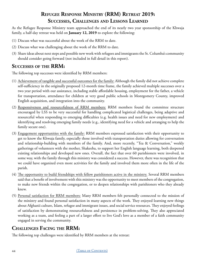# **Refugee Response Ministry (RRM) Retreat 2019: Successes, Challenges and Lessons Learned**

As the Refugee Response Ministry team approached the end of its nearly two year sponsorship of the Khwaja family, a half-day retreat was held on **January 12, 2019** to explore the following:

- (1) Discuss what was successful about the work of the RRM to date.
- (2) Discuss what was challenging about the work of the RRM to date.
- (3) Share ideas about next steps and possible new work with refugees and immigrants the St. Columba's community should consider going forward (not included in full detail in this report).

### **Successes of the RRM:**

The following top successes were identified by RRM members:

- (1) Achievement of tangible and successful outcomes for the family: Although the family did not achieve complete self-sufficiency in the originally proposed 12-month time frame, the family achieved multiple successes over a two year period with our assistance, including stable affordable housing, employment for the father, a vehicle for transportation, attendance for children at very good public schools in Montgomery County, improved English acquisition, and integration into the community.
- (2) Responsiveness and resourcefulness of RRM members: RRM members found the committee structure encouraged by LSS to be very successful for handling complicated logistical challenges, being adaptive and resourceful when responding to emerging difficulties (e.g. health issues and need for new employment) and identifying and resolving emerging family needs (e.g., identifying need for a vehicle and arranging to help the family secure one).
- (3) Engagement opportunities with the family: RRM members expressed satisfaction with their opportunity to get to know the Khwaja family, especially those involved with transportation duties allowing for conversation and relationship-building with members of the family. And, more recently, "Tea & Conversation," weekly gatherings of volunteers with the mother, Shakeeba, to support her English language learning, both deepened existing relationships and developed new ones. Overall, the fact that over 60 parishioners were involved, in some way, with the family through this ministry was considered a success. However, there was recognition that we could have organized even more activities for the family and involved them more often in the life of the parish.
- (4) The opportunity to build friendships with fellow parishioners active in the ministry. Several RRM members said that a benefit of involvement with this ministry was the opportunity to meet members of the congregation, to make new friends within the congregation, or to deepen relationships with parishioners who they already knew.
- (5) Personal satisfaction for RRM members: Many RRM members felt personally connected to the mission of the ministry and found personal satisfaction in many aspects of the work. They enjoyed learning new things about Afghanii culture, Islam, refugee and immigrant issues, and social service resources. They enjoyed feelings of satisfaction by demonstrating resourcefulness and persistence in problem-solving. They also appreciated working as a team, and feeling a part of a larger effort to live God's love as a member of a faith community engaged in serving the community.

## **Challenges Facing the RRM:**

The following top challenges were identified by RRM members at the retreat: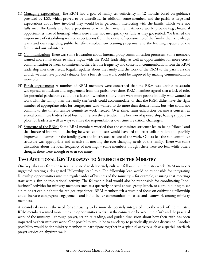- (1) Managing expectations: The RRM had a goal of family self-sufficiency in 12 months based on guidance provided by LSS, which proved to be unrealistic. In addition, some members and the parish-at-large had expectations about how involved they would be in personally interacting with the family, which were not fully met. The family also had expectations of what their new life in America would provide (e.g., financial opportunities, size of housing) which were either not met quickly or fully as they got settled. We learned the importance of establishing realistic expectations from the outset of sponsorship of the family, their knowledge levels and ours regarding public benefits, employment training programs, and the learning capacity of the family and our volunteers.
- (2) Communication: There was some frustration about internal group communication processes. Some members wanted more invitations to share input with the RRM leadership, as well as opportunities for more crosscommunication between committees. Others felt the frequency and content of communication from the RRM leadership met their needs. Regular updates about the family and the work of the RRM to the parish via the church website have proved valuable, but a few felt this work could be improved by making communications more often.
- (3) Parish engagement: A number of RRM members were concerned that the RRM was unable to sustain widespread enthusiasm and engagement from the parish over time. RRM members agreed that a lack of roles for potential participants could be a factor – whether simply there were more people initially who wanted to work with the family than the family size/needs could accommodate, or that the RRM didn't have the right number of appropriate roles for congregants who wanted to do more than donate funds, but who could not commit to the time-intensive committee work needed. Over time, team exhaustion became a concern as several committee leaders faced burn out. Given the extended time horizon of sponsorship, having support in place for leaders as well as ways to share the responsibilities over time are critical challenges.
- (4) Structure of the RRM: Some RRM members worried that the committee structure led to being "siloed" and that increased information sharing between committees would have led to better collaboration and possibly improved outcomes for the family given the interrelated nature of the work. Others felt the sub-committee structure was appropriate and effective in meeting the ever-changing needs of the family. There was some discussion about the ideal frequency of meetings – some members thought there were too few, while others thought there were enough or even too many.

### **Two Additional Key Takeaways to Strengthen the Ministry**

One key takeaway from the retreat is the need to deliberately cultivate fellowship in ministry work. RRM members suggested creating a designated "fellowship lead" role. The fellowship lead would be responsible for integrating fellowship opportunities into the regular order of business of the ministry – for example, ensuring that meetings start with a fun or inspirational activity. The fellowship lead would also be responsible for coordinating "nonbusiness" activities for ministry members such as a quarterly or semi-annual group lunch, or a group outing to see a film or art exhibit about the refugee experience. RRM members felt a sustained focus on cultivating fellowship could increase congregant engagement and build better communication, trust and teamwork among ministry members.

A second takeaway is the need for spirituality to be more deliberately integrated into the work of the ministry. RRM members wanted more time and opportunities to discuss the connection between their faith and the practical work of the ministry – through prayer, scripture reading, and guided discussion about how their faith has been impacted by their ministry work. One possibility would be to ask clergy to periodically guide a discussion. Another possibility would be for ministry members to participate together in a spiritual activity such as a special interfaith prayer service or labyrinth walk.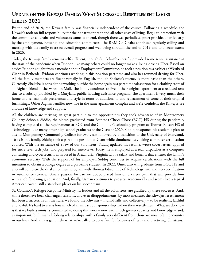# **Update on the Khwaja Family: What Successful Resettlement Looks Like in 2021**

By the end of 2019, the Khwaja family was financially independent of the church. Following a schedule, the Khwaja's took on full responsibility for their apartment rent and all other costs of living. Regular interaction with the committee co-chairs and volunteers came to an end, though there was periodic support provided, particularly by the employment, housing, and education committees. The RRM Co-Chairs continued regularly calling and meeting with the family to assess overall progress and well-being through the end of 2019 and to a lesser extent in 2020.

Today, the Khwaja family remains self-sufficient, though St. Columba's briefly provided some rental assistance at the start of the pandemic when Fridoon like many others could no longer make a living driving Uber. Based on advice Fridoon sought from a member of our Employment Committee, he took a position as a cashier at Westbard Giant in Bethesda. Fridoon continues working in this position part-time and also has resumed driving for Uber. All the family members are fluent verbally in English, though Shakeba's fluency is more basic than the others. Currently, Shakeba is considering working outside the home again as a part-time salesperson for a clothing store of an Afghan friend at the Wheaton Mall. The family continues to live in their original apartment at a reduced rent due to a subsidy provided by a Maryland public housing assistance program. The apartment is very much their home and reflects their preferences and style in terms of additions to and replacement of some of their original furnishings. Other Afghan families now live in the same apartment complex and we're confident the Khwajas are a source of knowledge and support.

All the children are thriving, in great part due to the opportunities they took advantage of in Montgomery Country Schools. Siddiq, the oldest, graduated from Bethesda-Chevy Chase (BCC) HS during the pandemic, having completed all the requirements at BCC and the Computer Technology program at Thomas Edison HS of Technology. Like many other high school graduates of the Class of 2020, Siddiq postponed his academic plan to attend Montgomery Community College for two years followed by a transition to the University of Maryland. To assist his family, Siddiq took a part-time position at Giant while simultaneously taking computer certification courses. With the assistance of a few of our volunteers, Siddiq updated his resume, wrote cover letters, applied for entry level tech jobs, and prepared for interviews. Today, he is employed as a tech dispatcher at a computer consulting and cybersecurity firm based in Alexandria, Virginia with a salary and benefits that ensures the family's economic security. With the support of his employer, Siddiq continues to acquire certifications with the full intention to obtain a college degree as a part-time student. In 2022, Omer also will graduate from BCC HS and also will complete the dual enrollment program with Thomas Edison HS of Technology with industry certification in automotive science. Omer's passion for cars no doubt placed him on a career path that will provide him with a job following graduation. And, finally, Usman continues to progress academically and seems like a typical American tween, still a standout player on his soccer team.

St. Columba's Refugee Response Ministry, its leaders and all the volunteers, are gratified by these successes. And, while there have been challenges, tensions, and even disappointments, by most measures the Khwaja's resettlement has been a success. From the start, we found the Khwaja's – individually and collectively – to be resilient, faithful and joyful. It's hard to assess how much of an impact our sponsorship had on their resettlement. What we do know is that we built a ministry committed to doing this work – now with much greater capacity and knowledge – and, as important, built many life-long relationships with a family very different from those we most often encounter in our lives. And, this is genuinely what we're called to do as faithful followers of Jesus and practicing Christians.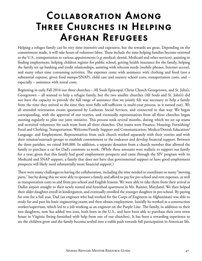# <span id="page-46-0"></span>Collaboration Among Three Churches in Helping Afghan Refugees

Helping a refugee family can be very time-intensive and expensive, but the rewards are great. Depending on the commitment made, it will take hours of volunteer labor. These include the time helping families become oriented to the U.S., transportation to various appointments (*e.g.* medical, dental, Medicaid and other services), assisting in finding employment, helping children register for public school, getting health insurance for the family, helping the family set up banking and credit relationships, assisting with telecom needs (mobile phones, Internet access), and many other time consuming activities. The expenses come with assistance with clothing and food (not a substantial expense, given food stamps/SNAP), child care and nursery school costs, transportation costs, and – especially – assistance with rental costs.

Beginning in early Fall 2016 our three churches – All Souls Episcopal, Christ Church Georgetown, and St. John's, Georgetown – all wanted to help a refugee family, but the two smaller churches (All Souls and St. John's) did not have the capacity to provide the full range of assistance that we jointly felt was necessary to help a family from the time they arrived to the time they were fully self-sufficient (a multi-year process, as it turned out). We all attended orientation events sponsored by Lutheran Social Services, and connected in that way. We began corresponding, with the approval of our vestries, and eventually representatives from all three churches began meeting regularly to plan our joint initiative. This process took several months, during which we set up teams and recruited volunteers for each team from all three churches. Our teams were Finance; Housing; Furnishing/ Food and Clothing; Transportation; Welcome/Family Support and Communication; Medica/Dental; Education/ Language; and Employment. Representatives from each church worked separately with their vestries and with their mission/outreach groups to establish commitment to the endeavor and develop financial support. Between the three parishes, we raised \$40,000. In addition, a separate donation from a church member that allowed the family to purchase a car for Dad's commute to work. (While these amounts were realistic to support our family for a year, given that this family had good employment prospects and came through the SIV program with its Medicaid and SNAP support, a family that does not have that governmental support or have good employment prospects will likely need substantially more financial support.)

There were many challenges to having the collaboration, including the time needed to coordinate so many "moving parts," but by doing this we were able to sponsor a family and afford to pay for pre-school and rent expenses, as well as transportation costs to and from pre-school and English lessons. We were able to take them from their arrival at Dulles airport straight to their newly rented and furnished apartment in Mt. Rainier, Maryland. We then helped their older daughter enroll in kindergarten, and eventually enrolled the younger daughter in pre-school. By paying for rent for a full year, Dad (an engineer who had worked for the Corps of Engineers in Afghanistan) was able to study for and pass his basic engineering exams and then obtain employment. Initially he worked as a construction worker/supervisor, which led to a job working as an engineer on the Purple Line. The family, in addition to their two daughters, now has added two sons, both born in the U.S., and have been able to purchase their own town house in Virginia (being furnished with help from one of our churches). It has been a rewarding experience to see the children grow and the family become settled into a stable path towards full participation in American life.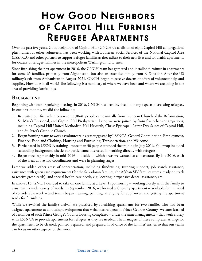# <span id="page-47-0"></span>How Good Neighbors of Capitol Hill Furnish Refugee Apartments

Over the past five years, Good Neighbors of Capitol Hill (GNCH), a coalition of eight Capitol Hill congregations plus numerous other volunteers, has been working with Lutheran Social Services of the National Capitol Area (LSSNCA) and other partners to support refugee families as they adjust to their new lives and to furnish apartments for dozens of refugee families in the metropolitan Washington, DC, area.

Since furnishing the first apartment in 2016, the GNCH team has gathered and installed furniture in apartments for some 65 families, primarily from Afghanistan, but also an extended family from El Salvador. After the US military's exit from Afghanistan in August 2021, GNCH began to receive dozens of offers of volunteer help and supplies. How does it all work? The following is a summary of where we have been and where we are going in the area of providing furnishings.

### **BACKGROUND**

Beginning with our organizing meetings in 2016, GNCH has been involved in many aspects of assisting refugees. In our first months, we did the following:

- 1. Recruited our first volunteers some 30-40 people came initially from Lutheran Church of the Reformation, St. Mark's Episcopal, and Capitol Hill Presbyterian. Later, we were joined by from five other congregations, including Capitol Hill United Methodist, Hill Havurah, Christ Episcopal, Latter Day Saints of Capitol Hill, and St. Peter's Catholic Church.
- 2. Began forming teams to work as volunteers in areas suggested by LSSNCA: General Coordination, Employment, Finance, Food and Clothing, Housing and Furnishing, Transportation, and Welcome.
- 3. Participated in LSSNCA training –more than 30 people attended the training in July 2016. Followup included scheduling background checks for participants interested in working directly with refugees.
- 4. Began meeting monthly in mid-2016 to decide in which areas we wanted to concentrate. By late 2016, each of the areas above had coordinators and were in planning stages.

Later we added other areas of concentration, including fundraising, tutoring support, job search assistance, assistance with green card requirements (for the Salvadoran families; the Afghan SIV families were already on track to receive green cards), and special health care needs, e.g. locating inexpensive dental assistance, etc.

In mid-2016, GNCH decided to take on one family at a Level 1 sponsorship – working closely with the family to assist with a wide variety of needs. In September 2016, we located a Cheverly apartment – available, but in need of considerable work – and teams began cleaning, painting, arranging for appliances, and getting the apartment ready for furnishing.

While we awaited the family's arrival, we practiced by furnishing apartments for two families who had been assigned apartments at a housing development that welcomes refugees in Prince Georges County. We later learned of a number of such Prince George's County housing complexes – under the same management – that work closely with LSSNCA to provide apartments for refugees as they are needed. The managers of these complexes arrange for the apartments to be cleaned, painted, repaired, and prepared in advance of the families' arrival so that our teams can focus on other aspects of the work.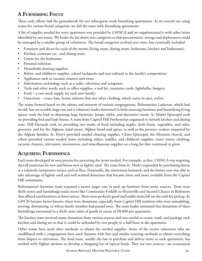## **A Furnishing Focus**

These early efforts laid the groundwork for our subsequent work furnishing apartments. As we started out using teams for various broad categories, we did the same with furnishing apartments.

A list of supplies needed for every apartment was provided by LSSNCA and we supplemented it with other items identified by our teams. We broke the list down into categories so that procurement, storage and deployment could be managed by a smaller group of volunteers. The broad categories evolved over time, but eventually included

- Furniture and décor for each of the rooms (living room, dining room, bedrooms, kitchen and bathroom);
- Kitchen cookware etc., and dining ware;
- Linens for the bedrooms;
- Personal toiletries:
- Household cleaning supplies;
- Babies' and children's supplies, school backpacks and toys tailored to the family's composition;
- Appliances such as vacuum cleaners and irons;
- Information technology such as a radio, television and computer;
- Tools and other needs, such as office supplies, a tool kit, extension cords, lightbulbs, hangers;
- Food a two-week supply for each new family;
- Outerwear coats, hats, boots, mittens (but not other clothing, which varies in sizes, styles)

The teams formed based on the talents and interests of various congregations. Reformation Lutheran, which had an old, but serviceable large van and a volunteer leader interested in both sourcing furniture and beautifying living spaces, took the lead in obtaining large furniture, lamps, tables, and decorative needs. St. Mark's Episcopal took on providing bed and bath linens. A team from Capitol Hill Presbyterian organized to furnish kitchen and dining ware. Hill Havurah took on providing two weeks of food including staples, fresh fruits, vegetables, and other groceries, and for the Afghans, halal meats, Afghan bread and spices, as well as the pressure cookers requested by the Afghan families. St. Peter's provided needed cleaning supplies. Christ Episcopal, the Mormon church, and others provided various needed items including infant, toddler, and children's supplies, outer winter clothing; vacuum cleaners, televisions, microwaves, and miscellaneous supplies on a long list that continued to grow.

### **Acquiring Furnishings**

Each team developed its own process for procuring the items needed. For example, at first, LSSNCA was requiring that all mattresses be new and linens new or lightly used. The team from St. Mark's responded by purchasing linens at a relatively inexpensive source such as Ikea. Eventually, the restrictions loosened, and the linens crew was able to take advantage of lightly used and well washed donations that became more and more available from the Capitol Hill community.

Reformation's furniture team acquired a newer, larger van, to pick up furniture from many sources. There were thrift stores and furnishings resale stores like Community Forklift in Hyattsville and Second Chance in Baltimore that offered used furniture at lower prices. There were perfectly good and usable items left on the curb for pickup. As GNCH became better known, there were donations, especially from Capitol Hill residents who were remodeling, moving, downsizing, or whose family member had passed away. The team leader estimated that donations of these furnishings amounted to a thrift store value of goods in excess of \$8,000 per apartment.

The kitchen team received many donations from various sources and was careful to count, wash, and package each kitchen and dining set so that it could be unloaded by two people in a half hour at the apartment.

Other teams have used other methods to obtain the needed supplies. Some of the recent volunteers who are unaffiliated with a congregation have used Amazon wish lists and similar sourcing methods to obtain everything from diapers to televisions. The food team, usually the last to purchase and deliver items to each apartment, has worked with Afghan advisors to develop a shopping list of typical foods. They use two sources—an economical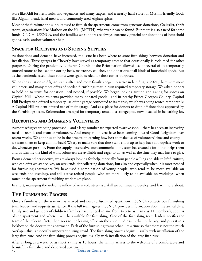store like Aldi for fresh fruits and vegetables and many staples, and a nearby halal store for Muslim-friendly foods like Afghan bread, halal meats, and commonly used Afghan spices.

Most of the furniture and supplies used to furnish the apartments come from generous donations, Craigslist, thrift stores, organizations like Mothers on the Hill (MOTH), wherever it can be found. But there is also a need for some funds. GNCH, LSSNCA, and the families we support are always extremely grateful for donations of household goods, cash, and/or volunteer help.

## **Space for Receiving and Storing Supplies**

As donations and demand have increased, the issue has been where to store furnishings between donation and installation. Three garages in Cheverly have served as temporary storage that occasionally is reclaimed for other purposes. During the pandemic, Lutheran Church of the Reformation allowed use of several of its temporarily unused rooms to be used for storing beds, mattresses, couches, and donations of all kinds of household goods. But as the pandemic eased, these rooms were again needed for their earlier purposes.

When the situation in Afghanistan shifted and more families began to arrive in late August 2021, there were more volunteers and many more offers of needed furnishings that in turn required temporary storage. We asked donors to hold on to items for donation until needed, if possible. We began looking around and asking for spaces on Capitol Hill—whose residents provided many donated goods—and in nearby Prince George's County. Capitol Hill Presbyterian offered temporary use of the garage connected to its manse, which was being rented temporarily. A Capitol Hill resident offered use of their garage. And as a place for donors to drop off donations approved by the Furnishings team, Reformation arranged for temporary rental of a storage pod, now installed in its parking lot.

## **Recruiting and Managing Volunteers**

As more refugees are being processed—and a large number are expected to arrive soon—there has been an increasing need to recruit and manage volunteers. And many volunteers have been coming toward Good Neighbors over recent weeks. We continue to be in the process of learning how best to make use of volunteers' time and energy we want them to keep coming back! We try to make sure that those who show up to help have appropriate work to do, whenever possible. From the supply perspective, our communications team has created a form that helps them and us identify the kind of work volunteers are available and eager to do, as well as the time they may have to give.

From a demand perspective, we are always looking for help, especially from people willing and able to lift furniture, who can offer assistance, yes, on weekends, for collecting donations, but also and especially when it is most needed for furnishing apartments. We have used a combination of young people, who tend to be more available on weekends and evenings, and still active retired people, who are more likely to be available on weekdays, when much of the apartment furnishing work takes place.

In short, managing the welcome inflow of new volunteers is a skill we continue to develop and learn more about.

## **The Furnishing Process**

Once a family is on the way or has arrived and needs a furnished apartment, LSSNCA contacts our furnishing team leaders and requests assistance. If the full team agrees, LSSNCA provides information about the arrival date, family size and genders of children (families have ranged in size from two to as many as 11 members), address of the apartment and when it will be available for furnishing. One of the furnishing team leaders notifies the team of the relevant facts, then goes to the leasing office on the appointed day, picks up the key, and puts it in a lockbox on the door to the apartment. Each of the furnishing teams schedules a time so that there is not too much overlap—this is especially important during covid. The furnishing process begins, usually with installation of the large furniture. And the furnishing process begins, usually with installation of the large furniture.

50 (TABLE OF CONTENTS) After as long as a week, or as short a time as 10 hours, the family arrives to the welcome of a comfortable and beautifully furnished and decorated apartment.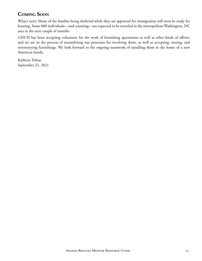## **Coming Soon**

What's next? Many of the families being sheltered while they are approved for immigration will soon be ready for housing. Some 800 individuals—and counting—are expected to be resettled in the metropolitan Washington, DC area in the next couple of months.

GNCH has been accepting volunteers for the work of furnishing apartments as well as other kinds of efforts, and we are in the process of streamlining our processes for involving them, as well as accepting, storing, and inventorying furnishings. We look forward to the ongoing teamwork of installing them in the home of a new American family.

Kathryn Tobias September 21, 2021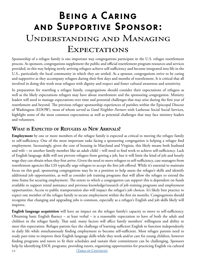# <span id="page-51-0"></span>Being a Caring and Supportive Sponsor: Understanding and Managing **EXPECTATIONS**

Sponsorship of a refugee family is one important way congregations participate in the U.S. refugee resettlement process. As sponsors, congregations supplement the public and official resettlement program resources and services provided, in this way helping newly arriving refugees achieve self-sufficiency and become integrated into life in the U.S., particularly the local community in which they are settled. As a sponsor, congregations strive to be caring and supportive as they accompany refugees during their first days and months of resettlement. It is critical that all involved in doing this work treat refugees with dignity and respect and foster cultural awareness and sensitivity.

In preparation for resettling a refugee family, congregations should consider their expectations of refugees as well as the likely expectations refugees may have about resettlement and the sponsoring congregation. Ministry leaders will need to manage expectations over time and potential challenges that may arise during the first year of resettlement and beyond. The previous refugee sponsorship experiences of parishes within the Episcopal Diocese of Washington (EDOW), most of whom served as *Good Neighbor Partners* with Lutheran Social Social Services, highlight some of the most common expectations as well as potential challenges that may face ministry leaders and volunteers.

### **What is Expected of Refugees as New Arrivals?**

**Employment** by one or more members of the refugee family is expected as critical to moving the refugee family to self-sufficiency. One of the most important tasks facing a sponsoring congregation is helping a refugee find employment. Increasingly, given the cost of housing in Maryland and Virginia, this likely means both husband and wife – or another family member like an adult child – will need to find work to achieve self-sufficiency. Lack of English language skills will not prevent refugees from getting a job, but it will limit the kind of job and hourly wage they can obtain when they first arrive. Given the need to move refugees to self-sufficiency, case managers from resettlement agencies like LSS typically urge refugees to accept the first job offered. While it's essential to maintain focus on this goal, sponsoring congregations may be in a position to help assess the refugee's skills and identify additional job opportunities, as well as consider job training programs that will allow the refugee to extend the time frame for securing employment. The extent to which a congregation can support this is dependent on funds available to support rental assistance and previous knowledge/research of job training programs and employment opportunities. Access to public transportation also will impact the refugee's job choices. It's likely best practice to expect one member of the refugee family to secure employment within the first six months. Congregations should recognize that changing and upgrading jobs is common, especially as a refugee's English and job skills likely will improve.

**English language acquisition** will have an impact on the refugee family's capacity to move to self-sufficiency. Obtaining basic English fluency – at least verbal – is a reasonable expectation to have of both the adult and children in the refugee family. That said, many factors will affect family members' willingness and ability to meet this expectation. Refugee parents face the challenge of learning sufficient English to function independently in daily life while simultaneously finding employment to become self-sufficient. Most refugee parents need to study part-time to improve their English language skills while they work and/or care for young children, however finding programs and tutors to fit their schedules and sustain their commitment can be challenging. Sponsors help by identifying ESOL programs, providing tutors, organizing opportunities for practicing English via cultural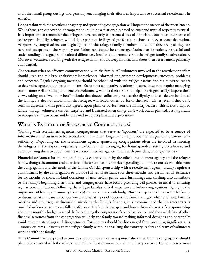and other small group outings and generally encouraging their efforts as important to successful resettlement in America.

**Cooperation** with the resettlement agency and sponsoring congregation will impact the success of the resettlement. While there is an expectation of cooperation, building a relationship based on trust and mutual respect is essential. It is important to remember that refugees have not only experienced loss of homeland, but often their sense of self-respect. Initially, refugees will likely experience feelings of grief, culture shock and even some depression. As sponsors, congregations can begin by letting the refugee family members know that they are glad they are here and accept them the way they are. Volunteers should be encouraged/trained to be patient, respectful and understanding of language and cultural differences, free from judgements about the refugee family's native culture. Moreover, volunteers working with the refugee family should keep information about their resettlement primarily confidential.

Cooperation relies on effective communication with the family. All volunteers involved in the resettlement effort should keep the ministry chairs/coordinator/leader informed of significant developments, successes, problems and concerns. Regular ongoing meetings should be scheduled with the refugee parents and the ministry leaders to determine agreed upon tasks and plans. Ensuring a cooperative relationship sometimes may require managing one or more well-meaning and generous volunteers, who in their desire to help the refugee family, impose their views, taking on a "we know best" attitude that doesn't sufficiently respect the dignity and self-determination of the family. It's also not uncommon that refugees will follow others advice or their own wishes, even if they don't seem in agreement with previously agreed upon plans or advice from the ministry leaders. This is not a sign of failure, though volunteers can feel surprised and frustrated when things don't work out as planned. It's important to recognize this can occur and be prepared to adjust plans and expectations.

## **What is Expected of Sponsoring Congregations?**

Working with resettlement agencies, congregations that serve as "sponsors" are expected to be a **source of information and assistance** for several months – often longer – to help move the refugee family toward selfsufficiency. Depending on the resettlement agency, sponsoring congregations often are involved in meeting the refugees at the airport, organizing a welcome meal, arranging for housing and/or setting up a home, and accompanying them to appointments with social service agencies and health providers, among other tasks.

**Financial assistance** for the refugee family is expected both by the official resettlement agency and the refugee family, though the amount and duration of the assistance often varies depending upon the resources available from the congregation and the needs of the family. Official sponsorship with a resettlement agency usually requires a commitment by the congregation to provide full rental assistance for three months and partial rental assistance for six months or more. In-kind donations of new and/or gently used furnishings and clothing also contribute to the family's beginning a new life, and congregations have found providing cell phones essential to ensuring regular communication. Following the refugee family's arrival, experience of other congregations highlights the importance of having the ministry's leader(s) and a volunteer with budget/finance experience meet with the family to discuss what it means to be sponsored and what types of support the family will get, when and how. For this meeting and other regular discussions involving the family's finances, it is recommended that an interpreter is provided unless the parents are fully proficient in English. Being open and honest from the start of the sponsorship about the monthly budget, a schedule for reducing the congregation's rental assistance, and the availability of other financial resources from the congregation will help the family toward making informed decisions and potentially avoid misunderstandings and disagreements. Parishioners should be discouraged from providing significant gifts – money or items – directly to the refugee family without consulting the ministry leaders and team of volunteers working with the family.

**Time Commitment** expected to provide support and services as a sponsor also varies, but the congregation should plan to be involved with the refugee family for at least six months, and more likely a year to 18 months to ensure